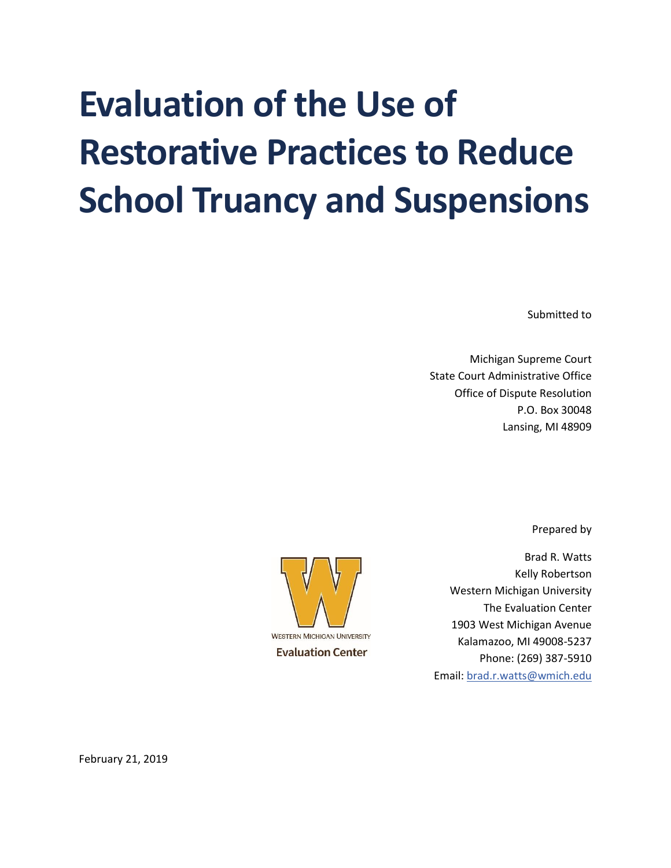# **Evaluation of the Use of Restorative Practices to Reduce School Truancy and Suspensions**

Submitted to

Michigan Supreme Court State Court Administrative Office Office of Dispute Resolution P.O. Box 30048 Lansing, MI 48909

Prepared by



Brad R. Watts Kelly Robertson Western Michigan University The Evaluation Center 1903 West Michigan Avenue Kalamazoo, MI 49008-5237 Phone: (269) 387-5910 Email: [brad.r.watts@wmich.edu](mailto:brad.r.watts@wmich.edu)

February 21, 2019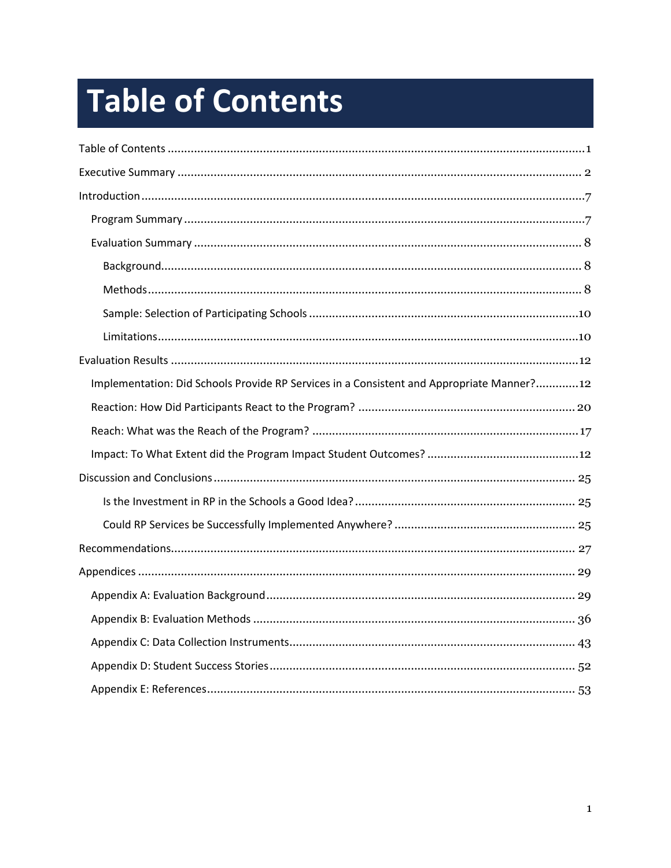# <span id="page-1-0"></span>**Table of Contents**

| Implementation: Did Schools Provide RP Services in a Consistent and Appropriate Manner?12 |
|-------------------------------------------------------------------------------------------|
|                                                                                           |
|                                                                                           |
|                                                                                           |
|                                                                                           |
|                                                                                           |
|                                                                                           |
|                                                                                           |
|                                                                                           |
|                                                                                           |
|                                                                                           |
|                                                                                           |
|                                                                                           |
|                                                                                           |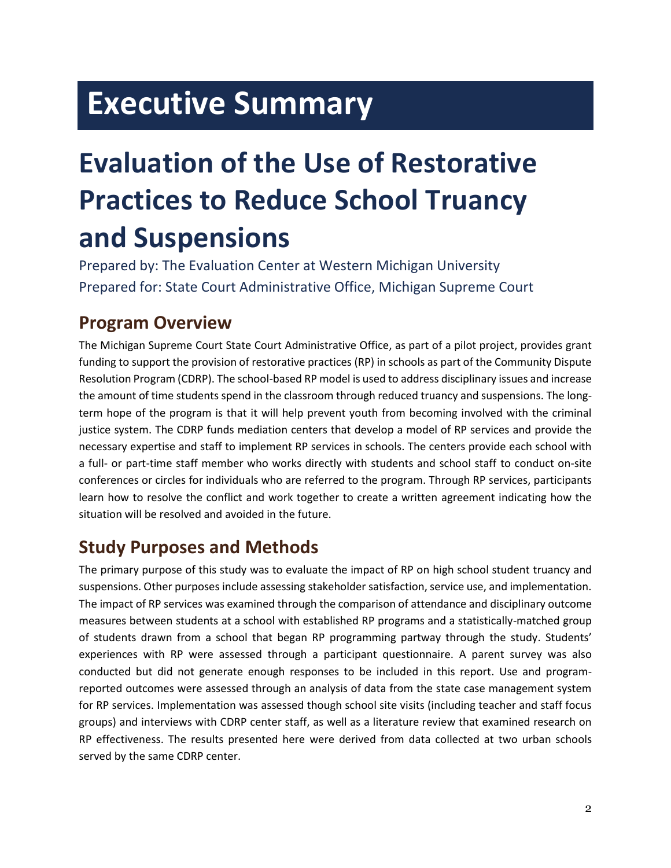## <span id="page-2-0"></span>**Executive Summary**

# **Evaluation of the Use of Restorative Practices to Reduce School Truancy and Suspensions**

Prepared by: The Evaluation Center at Western Michigan University Prepared for: State Court Administrative Office, Michigan Supreme Court

## **Program Overview**

The Michigan Supreme Court State Court Administrative Office, as part of a pilot project, provides grant funding to support the provision of restorative practices (RP) in schools as part of the Community Dispute Resolution Program (CDRP). The school-based RP model is used to address disciplinary issues and increase the amount of time students spend in the classroom through reduced truancy and suspensions. The longterm hope of the program is that it will help prevent youth from becoming involved with the criminal justice system. The CDRP funds mediation centers that develop a model of RP services and provide the necessary expertise and staff to implement RP services in schools. The centers provide each school with a full- or part-time staff member who works directly with students and school staff to conduct on-site conferences or circles for individuals who are referred to the program. Through RP services, participants learn how to resolve the conflict and work together to create a written agreement indicating how the situation will be resolved and avoided in the future.

## **Study Purposes and Methods**

The primary purpose of this study was to evaluate the impact of RP on high school student truancy and suspensions. Other purposes include assessing stakeholder satisfaction, service use, and implementation. The impact of RP services was examined through the comparison of attendance and disciplinary outcome measures between students at a school with established RP programs and a statistically-matched group of students drawn from a school that began RP programming partway through the study. Students' experiences with RP were assessed through a participant questionnaire. A parent survey was also conducted but did not generate enough responses to be included in this report. Use and programreported outcomes were assessed through an analysis of data from the state case management system for RP services. Implementation was assessed though school site visits (including teacher and staff focus groups) and interviews with CDRP center staff, as well as a literature review that examined research on RP effectiveness. The results presented here were derived from data collected at two urban schools served by the same CDRP center.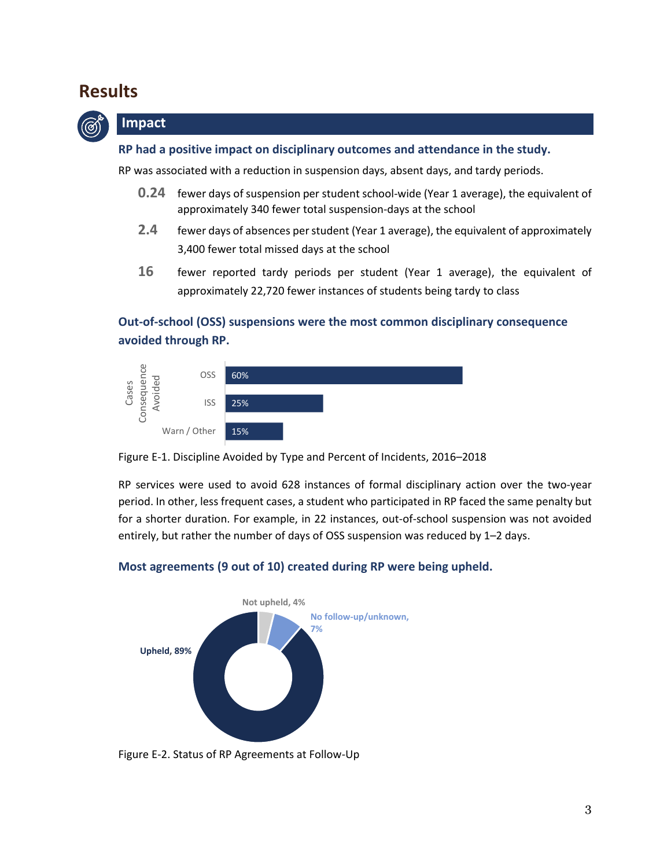### **Results**



#### **Impact**

#### **RP had a positive impact on disciplinary outcomes and attendance in the study.**

RP was associated with a reduction in suspension days, absent days, and tardy periods.

- **0.24** fewer days of suspension per student school-wide (Year 1 average), the equivalent of approximately 340 fewer total suspension-days at the school
- **2.4** fewer days of absences per student (Year 1 average), the equivalent of approximately 3,400 fewer total missed days at the school
- **16** fewer reported tardy periods per student (Year 1 average), the equivalent of approximately 22,720 fewer instances of students being tardy to class

#### **Out-of-school (OSS) suspensions were the most common disciplinary consequence avoided through RP.**





RP services were used to avoid 628 instances of formal disciplinary action over the two-year period. In other, less frequent cases, a student who participated in RP faced the same penalty but for a shorter duration. For example, in 22 instances, out-of-school suspension was not avoided entirely, but rather the number of days of OSS suspension was reduced by 1–2 days.

#### **Most agreements (9 out of 10) created during RP were being upheld.**



Figure E-2. Status of RP Agreements at Follow-Up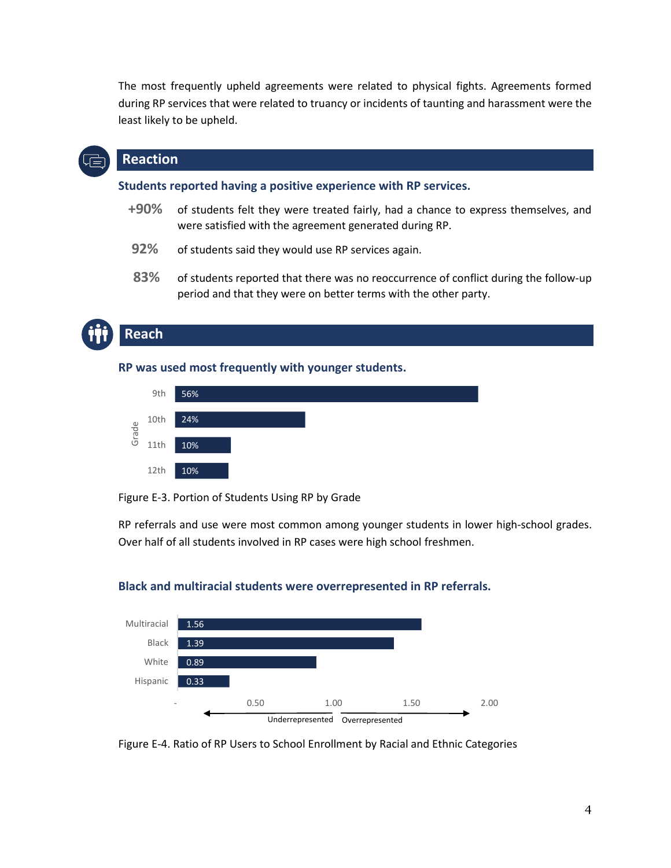The most frequently upheld agreements were related to physical fights. Agreements formed during RP services that were related to truancy or incidents of taunting and harassment were the least likely to be upheld.

#### **Reaction**

**Students reported having a positive experience with RP services.**

- **+90%** of students felt they were treated fairly, had a chance to express themselves, and were satisfied with the agreement generated during RP.
- **92%** of students said they would use RP services again.
- **83%** of students reported that there was no reoccurrence of conflict during the follow-up period and that they were on better terms with the other party.

## **Reach**

**RP was used most frequently with younger students.**



Figure E-3. Portion of Students Using RP by Grade

RP referrals and use were most common among younger students in lower high-school grades. Over half of all students involved in RP cases were high school freshmen.



#### **Black and multiracial students were overrepresented in RP referrals.**

Figure E-4. Ratio of RP Users to School Enrollment by Racial and Ethnic Categories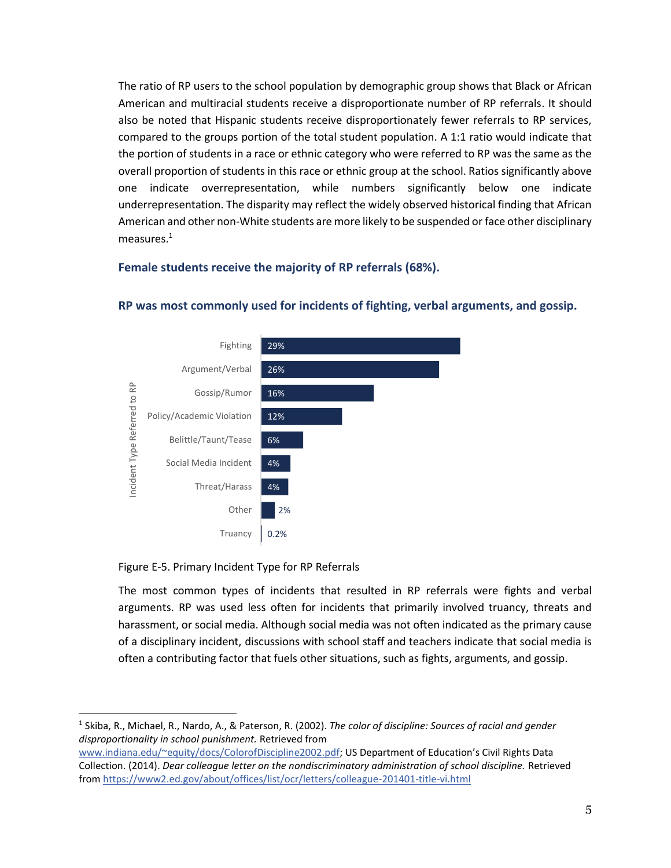The ratio of RP users to the school population by demographic group shows that Black or African American and multiracial students receive a disproportionate number of RP referrals. It should also be noted that Hispanic students receive disproportionately fewer referrals to RP services, compared to the groups portion of the total student population. A 1:1 ratio would indicate that the portion of students in a race or ethnic category who were referred to RP was the same as the overall proportion of students in this race or ethnic group at the school. Ratios significantly above one indicate overrepresentation, while numbers significantly below one indicate underrepresentation. The disparity may reflect the widely observed historical finding that African American and other non-White students are more likely to be suspended or face other disciplinary measures.<sup>1</sup>

#### **Female students receive the majority of RP referrals (68%).**



#### **RP was most commonly used for incidents of fighting, verbal arguments, and gossip.**

#### Figure E-5. Primary Incident Type for RP Referrals

 $\overline{a}$ 

The most common types of incidents that resulted in RP referrals were fights and verbal arguments. RP was used less often for incidents that primarily involved truancy, threats and harassment, or social media. Although social media was not often indicated as the primary cause of a disciplinary incident, discussions with school staff and teachers indicate that social media is often a contributing factor that fuels other situations, such as fights, arguments, and gossip.

<sup>1</sup> Skiba, R., Michael, R., Nardo, A., & Paterson, R. (2002). *The color of discipline: Sources of racial and gender disproportionality in school punishment.* Retrieved from

[www.indiana.edu/~equity/docs/ColorofDiscipline2002.pdf;](http://www.indiana.edu/~equity/docs/ColorofDiscipline2002.pdf) US Department of Education's Civil Rights Data Collection. (2014). *Dear colleague letter on the nondiscriminatory administration of school discipline.* Retrieved from<https://www2.ed.gov/about/offices/list/ocr/letters/colleague-201401-title-vi.html>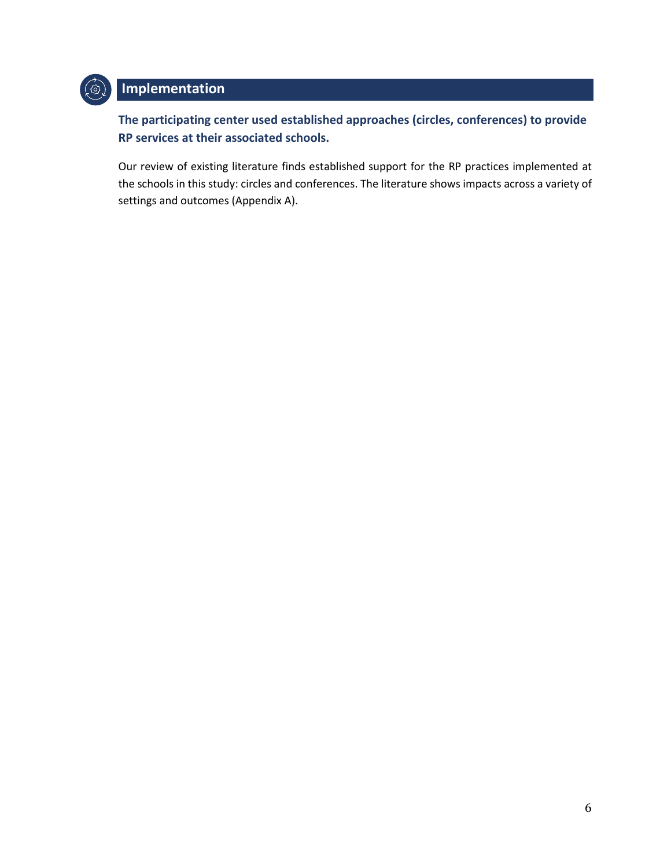

### **Implementation**

**The participating center used established approaches (circles, conferences) to provide RP services at their associated schools.**

Our review of existing literature finds established support for the RP practices implemented at the schools in this study: circles and conferences. The literature shows impacts across a variety of settings and outcomes (Appendix A).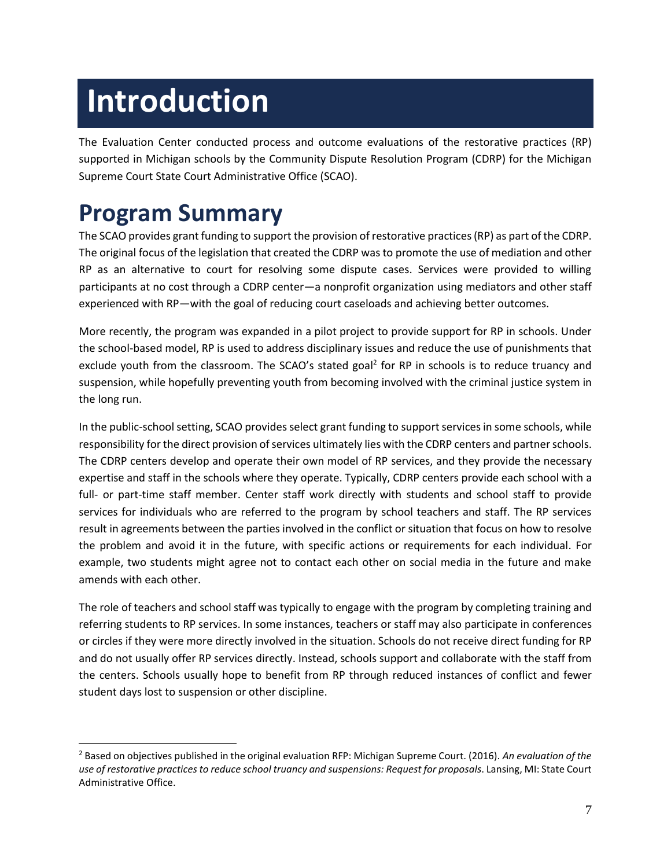# <span id="page-7-0"></span>**Introduction**

The Evaluation Center conducted process and outcome evaluations of the restorative practices (RP) supported in Michigan schools by the Community Dispute Resolution Program (CDRP) for the Michigan Supreme Court State Court Administrative Office (SCAO).

## <span id="page-7-1"></span>**Program Summary**

 $\overline{a}$ 

The SCAO provides grant funding to support the provision of restorative practices (RP) as part of the CDRP. The original focus of the legislation that created the CDRP was to promote the use of mediation and other RP as an alternative to court for resolving some dispute cases. Services were provided to willing participants at no cost through a CDRP center—a nonprofit organization using mediators and other staff experienced with RP—with the goal of reducing court caseloads and achieving better outcomes.

More recently, the program was expanded in a pilot project to provide support for RP in schools. Under the school-based model, RP is used to address disciplinary issues and reduce the use of punishments that exclude youth from the classroom. The SCAO's stated goal<sup>2</sup> for RP in schools is to reduce truancy and suspension, while hopefully preventing youth from becoming involved with the criminal justice system in the long run.

In the public-school setting, SCAO provides select grant funding to support services in some schools, while responsibility for the direct provision of services ultimately lies with the CDRP centers and partnerschools. The CDRP centers develop and operate their own model of RP services, and they provide the necessary expertise and staff in the schools where they operate. Typically, CDRP centers provide each school with a full- or part-time staff member. Center staff work directly with students and school staff to provide services for individuals who are referred to the program by school teachers and staff. The RP services result in agreements between the parties involved in the conflict or situation that focus on how to resolve the problem and avoid it in the future, with specific actions or requirements for each individual. For example, two students might agree not to contact each other on social media in the future and make amends with each other.

The role of teachers and school staff was typically to engage with the program by completing training and referring students to RP services. In some instances, teachers or staff may also participate in conferences or circles if they were more directly involved in the situation. Schools do not receive direct funding for RP and do not usually offer RP services directly. Instead, schools support and collaborate with the staff from the centers. Schools usually hope to benefit from RP through reduced instances of conflict and fewer student days lost to suspension or other discipline.

<sup>2</sup> Based on objectives published in the original evaluation RFP: Michigan Supreme Court. (2016). *An evaluation of the use of restorative practices to reduce school truancy and suspensions: Request for proposals*. Lansing, MI: State Court Administrative Office.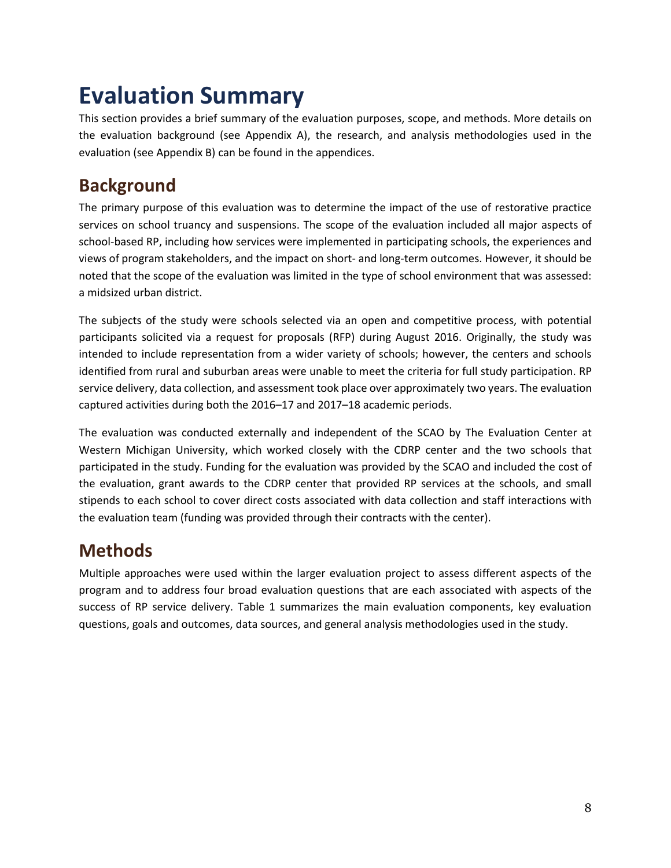## <span id="page-8-0"></span>**Evaluation Summary**

This section provides a brief summary of the evaluation purposes, scope, and methods. More details on the evaluation background (see Appendix A), the research, and analysis methodologies used in the evaluation (see Appendix B) can be found in the appendices.

## <span id="page-8-1"></span>**Background**

The primary purpose of this evaluation was to determine the impact of the use of restorative practice services on school truancy and suspensions. The scope of the evaluation included all major aspects of school-based RP, including how services were implemented in participating schools, the experiences and views of program stakeholders, and the impact on short- and long-term outcomes. However, it should be noted that the scope of the evaluation was limited in the type of school environment that was assessed: a midsized urban district.

The subjects of the study were schools selected via an open and competitive process, with potential participants solicited via a request for proposals (RFP) during August 2016. Originally, the study was intended to include representation from a wider variety of schools; however, the centers and schools identified from rural and suburban areas were unable to meet the criteria for full study participation. RP service delivery, data collection, and assessment took place over approximately two years. The evaluation captured activities during both the 2016–17 and 2017–18 academic periods.

The evaluation was conducted externally and independent of the SCAO by The Evaluation Center at Western Michigan University, which worked closely with the CDRP center and the two schools that participated in the study. Funding for the evaluation was provided by the SCAO and included the cost of the evaluation, grant awards to the CDRP center that provided RP services at the schools, and small stipends to each school to cover direct costs associated with data collection and staff interactions with the evaluation team (funding was provided through their contracts with the center).

## <span id="page-8-2"></span>**Methods**

Multiple approaches were used within the larger evaluation project to assess different aspects of the program and to address four broad evaluation questions that are each associated with aspects of the success of RP service delivery. Table 1 summarizes the main evaluation components, key evaluation questions, goals and outcomes, data sources, and general analysis methodologies used in the study.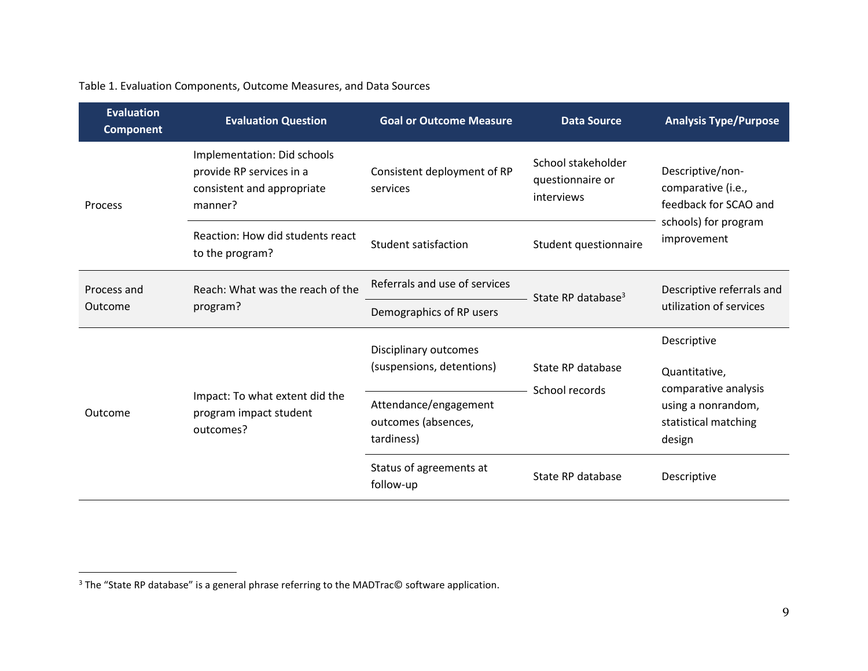#### Table 1. Evaluation Components, Outcome Measures, and Data Sources

| <b>Evaluation</b><br><b>Component</b> | <b>Evaluation Question</b>                                                                       | <b>Goal or Outcome Measure</b>                                  | <b>Data Source</b>                                   | <b>Analysis Type/Purpose</b>                                                                           |  |
|---------------------------------------|--------------------------------------------------------------------------------------------------|-----------------------------------------------------------------|------------------------------------------------------|--------------------------------------------------------------------------------------------------------|--|
| Process                               | Implementation: Did schools<br>provide RP services in a<br>consistent and appropriate<br>manner? | Consistent deployment of RP<br>services                         | School stakeholder<br>questionnaire or<br>interviews | Descriptive/non-<br>comparative (i.e.,<br>feedback for SCAO and<br>schools) for program<br>improvement |  |
|                                       | Reaction: How did students react<br>to the program?                                              | Student satisfaction                                            | Student questionnaire                                |                                                                                                        |  |
| Process and<br>Outcome                | Reach: What was the reach of the<br>program?                                                     | Referrals and use of services<br>State RP database <sup>3</sup> |                                                      | Descriptive referrals and                                                                              |  |
|                                       |                                                                                                  | Demographics of RP users                                        |                                                      | utilization of services                                                                                |  |
|                                       |                                                                                                  | Disciplinary outcomes                                           |                                                      | Descriptive                                                                                            |  |
| Outcome                               | Impact: To what extent did the<br>program impact student<br>outcomes?                            | (suspensions, detentions)                                       | State RP database                                    | Quantitative,                                                                                          |  |
|                                       |                                                                                                  | Attendance/engagement<br>outcomes (absences,<br>tardiness)      | School records                                       | comparative analysis<br>using a nonrandom,<br>statistical matching<br>design                           |  |
|                                       |                                                                                                  | Status of agreements at<br>follow-up                            | State RP database                                    | Descriptive                                                                                            |  |

 $\overline{a}$ 

<sup>&</sup>lt;sup>3</sup> The "State RP database" is a general phrase referring to the MADTrac© software application.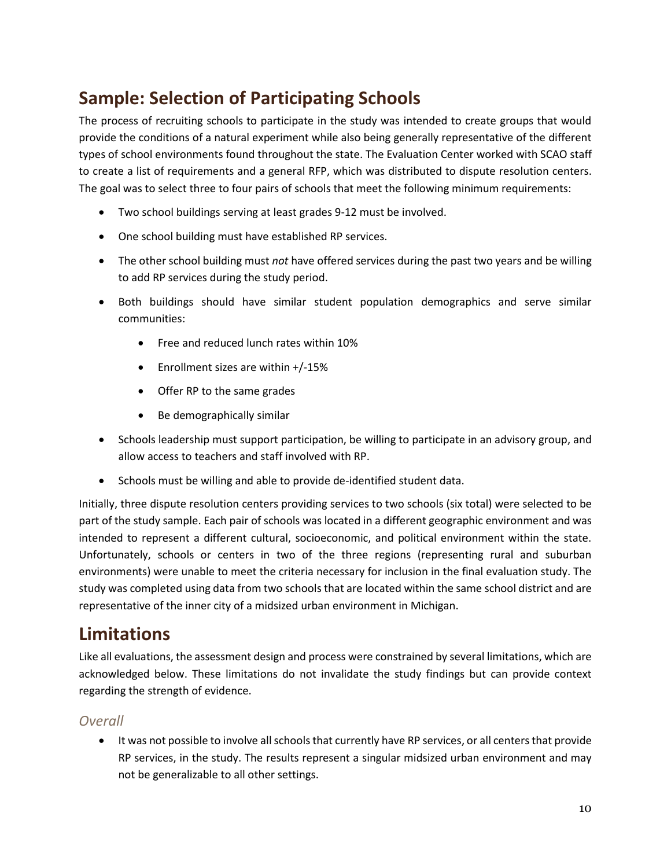## <span id="page-10-0"></span>**Sample: Selection of Participating Schools**

The process of recruiting schools to participate in the study was intended to create groups that would provide the conditions of a natural experiment while also being generally representative of the different types of school environments found throughout the state. The Evaluation Center worked with SCAO staff to create a list of requirements and a general RFP, which was distributed to dispute resolution centers. The goal was to select three to four pairs of schools that meet the following minimum requirements:

- Two school buildings serving at least grades 9-12 must be involved.
- One school building must have established RP services.
- The other school building must *not* have offered services during the past two years and be willing to add RP services during the study period.
- Both buildings should have similar student population demographics and serve similar communities:
	- Free and reduced lunch rates within 10%
	- Enrollment sizes are within +/-15%
	- Offer RP to the same grades
	- Be demographically similar
- Schools leadership must support participation, be willing to participate in an advisory group, and allow access to teachers and staff involved with RP.
- Schools must be willing and able to provide de-identified student data.

Initially, three dispute resolution centers providing services to two schools (six total) were selected to be part of the study sample. Each pair of schools was located in a different geographic environment and was intended to represent a different cultural, socioeconomic, and political environment within the state. Unfortunately, schools or centers in two of the three regions (representing rural and suburban environments) were unable to meet the criteria necessary for inclusion in the final evaluation study. The study was completed using data from two schools that are located within the same school district and are representative of the inner city of a midsized urban environment in Michigan.

### <span id="page-10-1"></span>**Limitations**

Like all evaluations, the assessment design and process were constrained by several limitations, which are acknowledged below. These limitations do not invalidate the study findings but can provide context regarding the strength of evidence.

#### *Overall*

• It was not possible to involve all schools that currently have RP services, or all centers that provide RP services, in the study. The results represent a singular midsized urban environment and may not be generalizable to all other settings.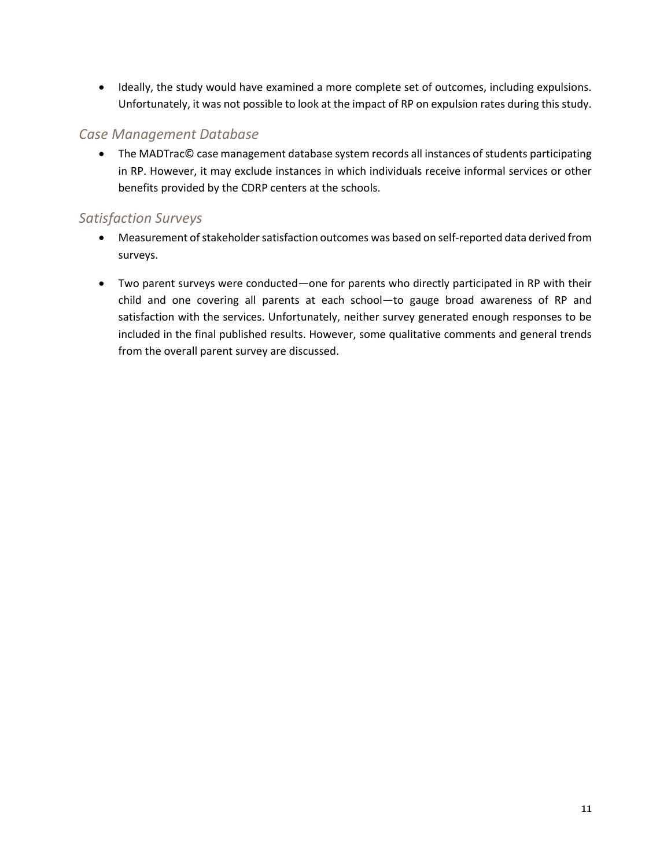Ideally, the study would have examined a more complete set of outcomes, including expulsions. Unfortunately, it was not possible to look at the impact of RP on expulsion rates during this study.

#### *Case Management Database*

● The MADTrac© case management database system records all instances of students participating in RP. However, it may exclude instances in which individuals receive informal services or other benefits provided by the CDRP centers at the schools.

#### *Satisfaction Surveys*

- Measurement of stakeholder satisfaction outcomes was based on self-reported data derived from surveys.
- Two parent surveys were conducted—one for parents who directly participated in RP with their child and one covering all parents at each school—to gauge broad awareness of RP and satisfaction with the services. Unfortunately, neither survey generated enough responses to be included in the final published results. However, some qualitative comments and general trends from the overall parent survey are discussed.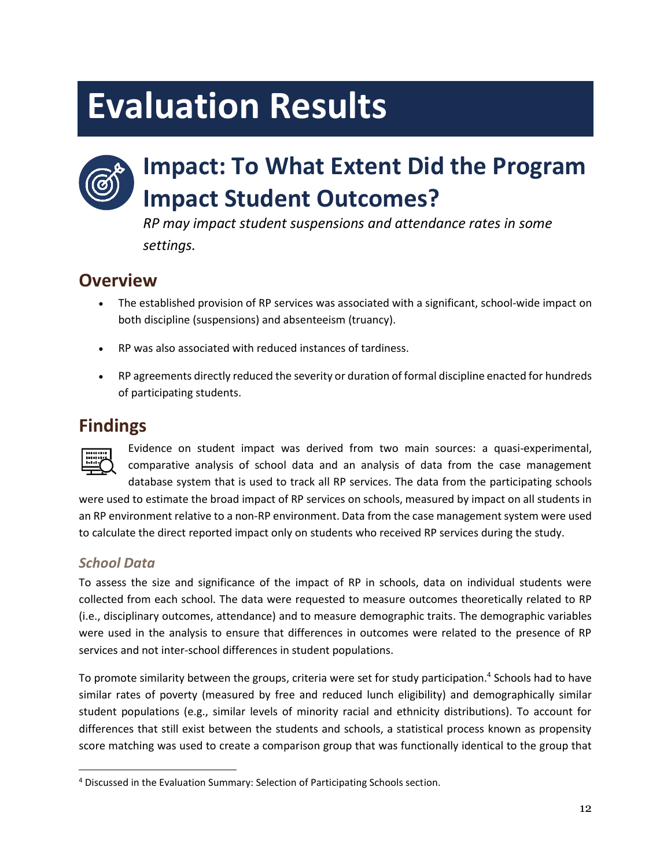# <span id="page-12-0"></span>**Evaluation Results**

## <span id="page-12-1"></span>**Impact: To What Extent Did the Program Impact Student Outcomes?**

*RP may impact student suspensions and attendance rates in some settings.*

## **Overview**

- The established provision of RP services was associated with a significant, school-wide impact on both discipline (suspensions) and absenteeism (truancy).
- RP was also associated with reduced instances of tardiness.
- RP agreements directly reduced the severity or duration of formal discipline enacted for hundreds of participating students.

## **Findings**



Evidence on student impact was derived from two main sources: a quasi-experimental, comparative analysis of school data and an analysis of data from the case management database system that is used to track all RP services. The data from the participating schools

were used to estimate the broad impact of RP services on schools, measured by impact on all students in an RP environment relative to a non-RP environment. Data from the case management system were used to calculate the direct reported impact only on students who received RP services during the study.

### *School Data*

To assess the size and significance of the impact of RP in schools, data on individual students were collected from each school. The data were requested to measure outcomes theoretically related to RP (i.e., disciplinary outcomes, attendance) and to measure demographic traits. The demographic variables were used in the analysis to ensure that differences in outcomes were related to the presence of RP services and not inter-school differences in student populations.

To promote similarity between the groups, criteria were set for study participation. 4 Schools had to have similar rates of poverty (measured by free and reduced lunch eligibility) and demographically similar student populations (e.g., similar levels of minority racial and ethnicity distributions). To account for differences that still exist between the students and schools, a statistical process known as propensity score matching was used to create a comparison group that was functionally identical to the group that

 $\overline{a}$ <sup>4</sup> Discussed in the Evaluation Summary: Selection of Participating Schools section.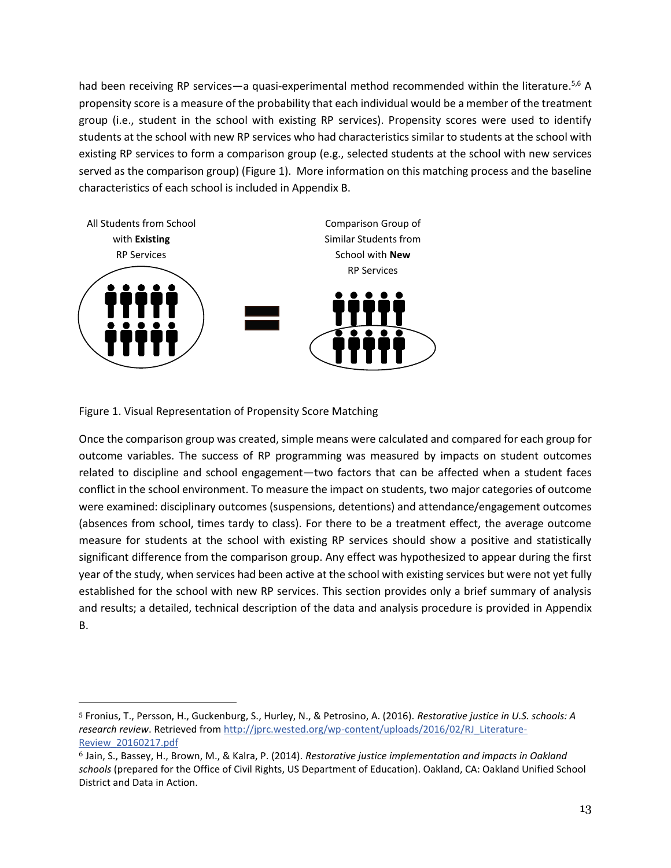had been receiving RP services—a quasi-experimental method recommended within the literature.<sup>5,6</sup> A propensity score is a measure of the probability that each individual would be a member of the treatment group (i.e., student in the school with existing RP services). Propensity scores were used to identify students at the school with new RP services who had characteristics similar to students at the school with existing RP services to form a comparison group (e.g., selected students at the school with new services served as the comparison group) (Figure 1). More information on this matching process and the baseline characteristics of each school is included in Appendix B.



Figure 1. Visual Representation of Propensity Score Matching

l

Once the comparison group was created, simple means were calculated and compared for each group for outcome variables. The success of RP programming was measured by impacts on student outcomes related to discipline and school engagement—two factors that can be affected when a student faces conflict in the school environment. To measure the impact on students, two major categories of outcome were examined: disciplinary outcomes (suspensions, detentions) and attendance/engagement outcomes (absences from school, times tardy to class). For there to be a treatment effect, the average outcome measure for students at the school with existing RP services should show a positive and statistically significant difference from the comparison group. Any effect was hypothesized to appear during the first year of the study, when services had been active at the school with existing services but were not yet fully established for the school with new RP services. This section provides only a brief summary of analysis and results; a detailed, technical description of the data and analysis procedure is provided in Appendix B.

<sup>5</sup> Fronius, T., Persson, H., Guckenburg, S., Hurley, N., & Petrosino, A. (2016). *Restorative justice in U.S. schools: A research review*. Retrieved from [http://jprc.wested.org/wp-content/uploads/2016/02/RJ\\_Literature-](http://jprc.wested.org/wp-content/uploads/2016/02/RJ_Literature-Review_20160217.pdf)[Review\\_20160217.pdf](http://jprc.wested.org/wp-content/uploads/2016/02/RJ_Literature-Review_20160217.pdf)

<sup>6</sup> Jain, S., Bassey, H., Brown, M., & Kalra, P. (2014). *Restorative justice implementation and impacts in Oakland schools* (prepared for the Office of Civil Rights, US Department of Education). Oakland, CA: Oakland Unified School District and Data in Action.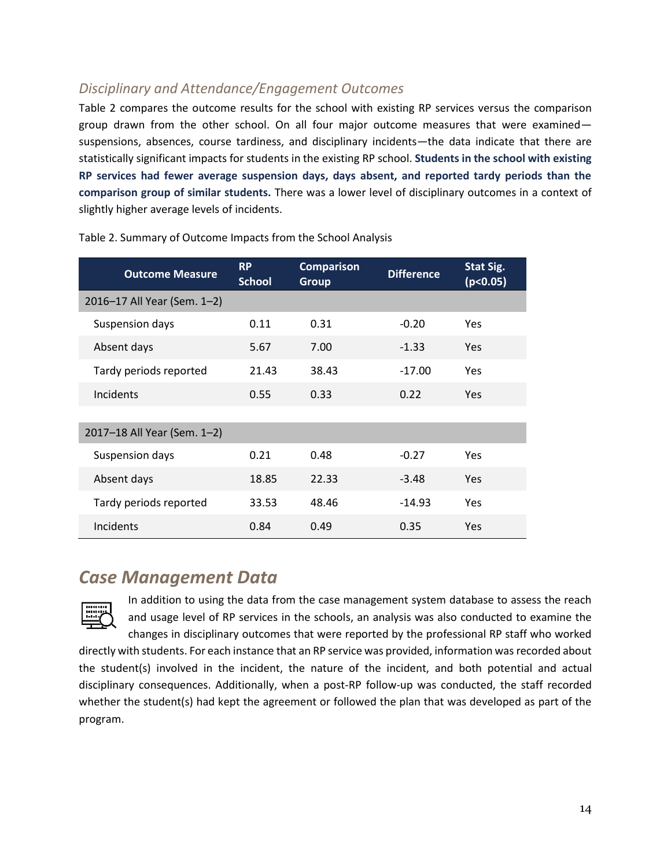### *Disciplinary and Attendance/Engagement Outcomes*

Table 2 compares the outcome results for the school with existing RP services versus the comparison group drawn from the other school. On all four major outcome measures that were examined suspensions, absences, course tardiness, and disciplinary incidents—the data indicate that there are statistically significant impacts for students in the existing RP school. **Students in the school with existing RP services had fewer average suspension days, days absent, and reported tardy periods than the comparison group of similar students.** There was a lower level of disciplinary outcomes in a context of slightly higher average levels of incidents.

| <b>Outcome Measure</b>      | <b>RP</b><br><b>School</b> | <b>Comparison</b><br><b>Group</b> | <b>Difference</b> | Stat Sig.<br>(p<0.05) |
|-----------------------------|----------------------------|-----------------------------------|-------------------|-----------------------|
| 2016-17 All Year (Sem. 1-2) |                            |                                   |                   |                       |
| Suspension days             | 0.11                       | 0.31                              | $-0.20$           | Yes.                  |
| Absent days                 | 5.67                       | 7.00                              | $-1.33$           | <b>Yes</b>            |
| Tardy periods reported      | 21.43                      | 38.43                             | $-17.00$          | Yes                   |
| <b>Incidents</b>            | 0.55                       | 0.33                              | 0.22              | <b>Yes</b>            |
|                             |                            |                                   |                   |                       |
| 2017-18 All Year (Sem. 1-2) |                            |                                   |                   |                       |
| Suspension days             | 0.21                       | 0.48                              | $-0.27$           | Yes                   |
| Absent days                 | 18.85                      | 22.33                             | $-3.48$           | <b>Yes</b>            |
| Tardy periods reported      | 33.53                      | 48.46                             | $-14.93$          | Yes                   |
| Incidents                   | 0.84                       | 0.49                              | 0.35              | Yes                   |

Table 2. Summary of Outcome Impacts from the School Analysis

### *Case Management Data*



In addition to using the data from the case management system database to assess the reach and usage level of RP services in the schools, an analysis was also conducted to examine the changes in disciplinary outcomes that were reported by the professional RP staff who worked directly with students. For each instance that an RP service was provided, information was recorded about the student(s) involved in the incident, the nature of the incident, and both potential and actual disciplinary consequences. Additionally, when a post-RP follow-up was conducted, the staff recorded whether the student(s) had kept the agreement or followed the plan that was developed as part of the program.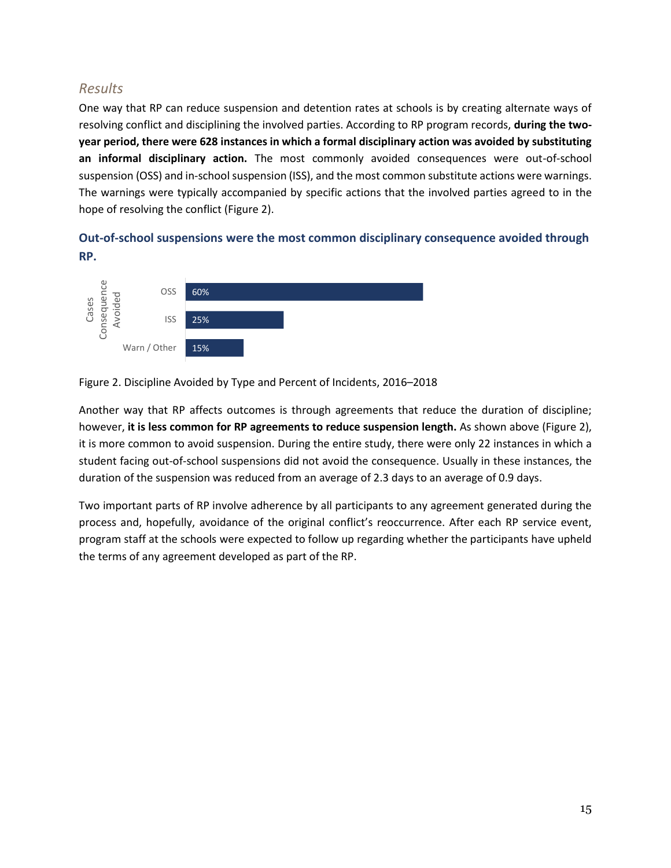#### *Results*

One way that RP can reduce suspension and detention rates at schools is by creating alternate ways of resolving conflict and disciplining the involved parties. According to RP program records, **during the twoyear period, there were 628 instances in which a formal disciplinary action was avoided by substituting an informal disciplinary action.** The most commonly avoided consequences were out-of-school suspension (OSS) and in-school suspension (ISS), and the most common substitute actions were warnings. The warnings were typically accompanied by specific actions that the involved parties agreed to in the hope of resolving the conflict (Figure 2).

#### **Out-of-school suspensions were the most common disciplinary consequence avoided through RP.**



Figure 2. Discipline Avoided by Type and Percent of Incidents, 2016–2018

Another way that RP affects outcomes is through agreements that reduce the duration of discipline; however, **it is less common for RP agreements to reduce suspension length.** As shown above (Figure 2), it is more common to avoid suspension. During the entire study, there were only 22 instances in which a student facing out-of-school suspensions did not avoid the consequence. Usually in these instances, the duration of the suspension was reduced from an average of 2.3 days to an average of 0.9 days.

Two important parts of RP involve adherence by all participants to any agreement generated during the process and, hopefully, avoidance of the original conflict's reoccurrence. After each RP service event, program staff at the schools were expected to follow up regarding whether the participants have upheld the terms of any agreement developed as part of the RP.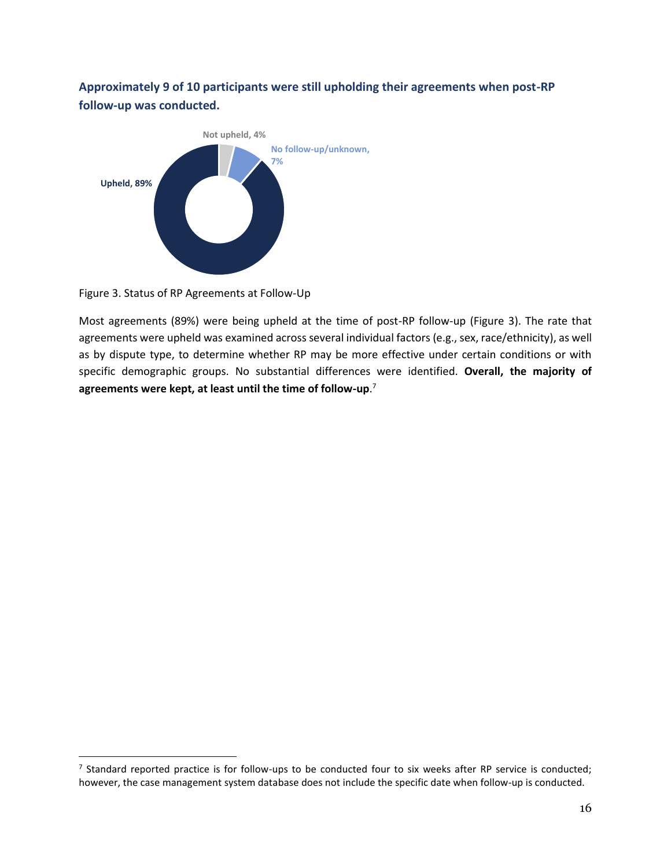**Approximately 9 of 10 participants were still upholding their agreements when post-RP follow-up was conducted.**



Figure 3. Status of RP Agreements at Follow-Up

 $\overline{a}$ 

Most agreements (89%) were being upheld at the time of post-RP follow-up (Figure 3). The rate that agreements were upheld was examined across several individual factors (e.g., sex, race/ethnicity), as well as by dispute type, to determine whether RP may be more effective under certain conditions or with specific demographic groups. No substantial differences were identified. **Overall, the majority of agreements were kept, at least until the time of follow-up**. 7

 $^7$  Standard reported practice is for follow-ups to be conducted four to six weeks after RP service is conducted; however, the case management system database does not include the specific date when follow-up is conducted.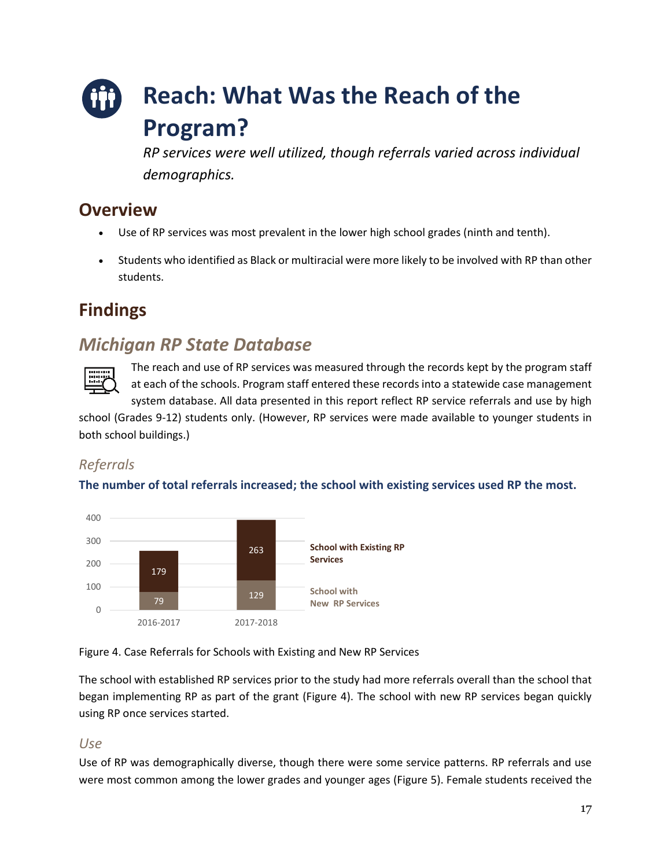## <span id="page-17-0"></span>**Reach: What Was the Reach of the Program?**

*RP services were well utilized, though referrals varied across individual demographics.*

## **Overview**

- Use of RP services was most prevalent in the lower high school grades (ninth and tenth).
- Students who identified as Black or multiracial were more likely to be involved with RP than other students.

## **Findings**

## *Michigan RP State Database*



The reach and use of RP services was measured through the records kept by the program staff at each of the schools. Program staff entered these records into a statewide case management system database. All data presented in this report reflect RP service referrals and use by high

school (Grades 9-12) students only. (However, RP services were made available to younger students in both school buildings.)

### *Referrals*

#### **The number of total referrals increased; the school with existing services used RP the most.**



Figure 4. Case Referrals for Schools with Existing and New RP Services

The school with established RP services prior to the study had more referrals overall than the school that began implementing RP as part of the grant (Figure 4). The school with new RP services began quickly using RP once services started.

### *Use*

Use of RP was demographically diverse, though there were some service patterns. RP referrals and use were most common among the lower grades and younger ages (Figure 5). Female students received the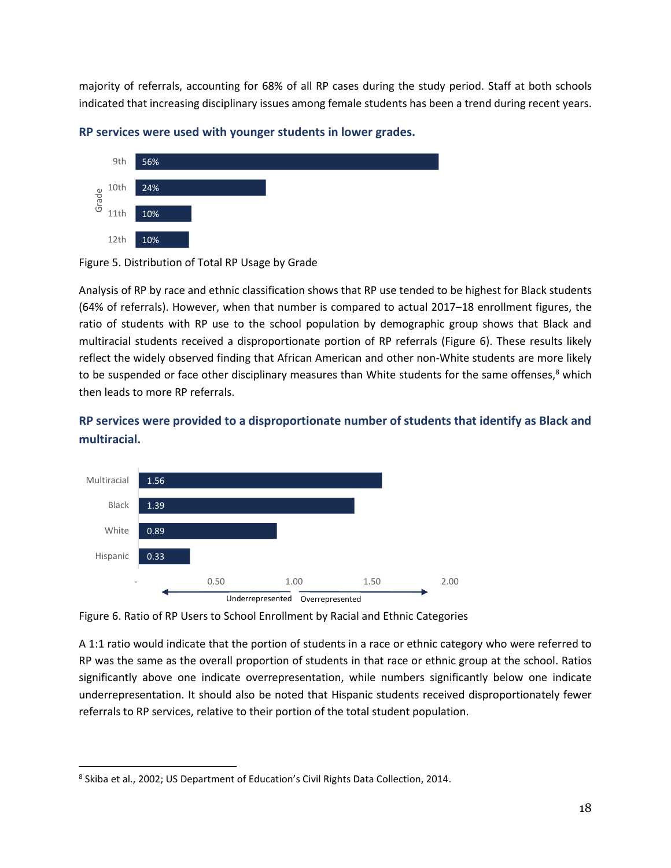majority of referrals, accounting for 68% of all RP cases during the study period. Staff at both schools indicated that increasing disciplinary issues among female students has been a trend during recent years.



**RP services were used with younger students in lower grades.**

Analysis of RP by race and ethnic classification shows that RP use tended to be highest for Black students (64% of referrals). However, when that number is compared to actual 2017–18 enrollment figures, the ratio of students with RP use to the school population by demographic group shows that Black and multiracial students received a disproportionate portion of RP referrals (Figure 6). These results likely reflect the widely observed finding that African American and other non-White students are more likely to be suspended or face other disciplinary measures than White students for the same offenses,<sup>8</sup> which then leads to more RP referrals.

#### **RP services were provided to a disproportionate number of students that identify as Black and multiracial.**



Figure 6. Ratio of RP Users to School Enrollment by Racial and Ethnic Categories

A 1:1 ratio would indicate that the portion of students in a race or ethnic category who were referred to RP was the same as the overall proportion of students in that race or ethnic group at the school. Ratios significantly above one indicate overrepresentation, while numbers significantly below one indicate underrepresentation. It should also be noted that Hispanic students received disproportionately fewer referrals to RP services, relative to their portion of the total student population.

 $\overline{a}$ 

Figure 5. Distribution of Total RP Usage by Grade

<sup>&</sup>lt;sup>8</sup> Skiba et al., 2002; US Department of Education's Civil Rights Data Collection, 2014.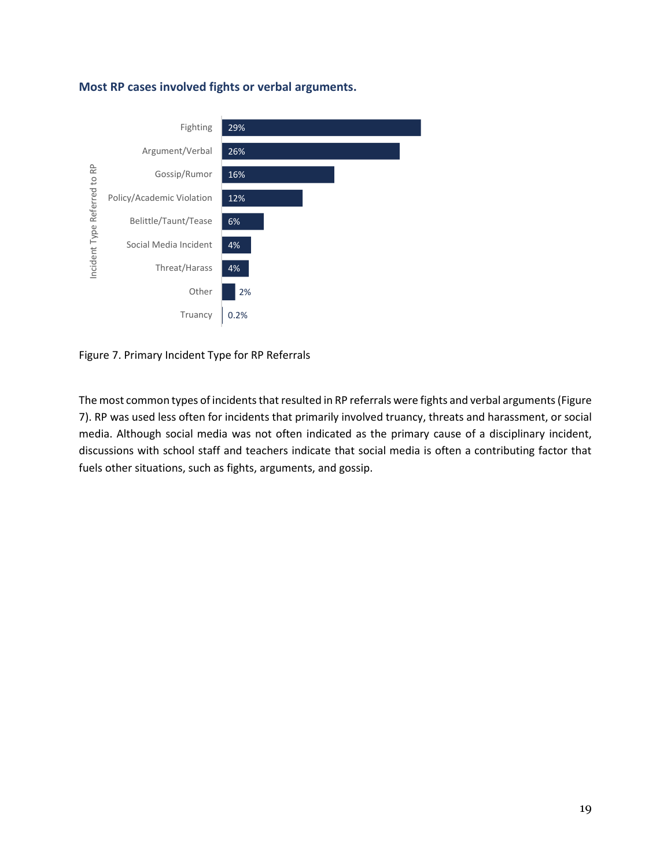#### **Most RP cases involved fights or verbal arguments.**



Figure 7. Primary Incident Type for RP Referrals

The most common types of incidents that resulted in RP referrals were fights and verbal arguments (Figure 7). RP was used less often for incidents that primarily involved truancy, threats and harassment, or social media. Although social media was not often indicated as the primary cause of a disciplinary incident, discussions with school staff and teachers indicate that social media is often a contributing factor that fuels other situations, such as fights, arguments, and gossip.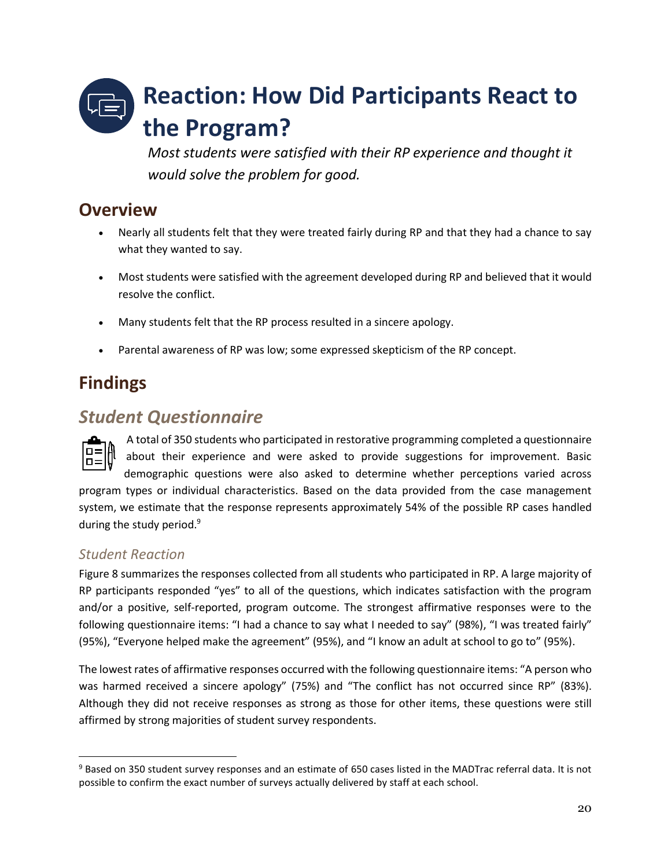## <span id="page-20-0"></span>**Reaction: How Did Participants React to the Program?**

*Most students were satisfied with their RP experience and thought it would solve the problem for good.* 

## **Overview**

- Nearly all students felt that they were treated fairly during RP and that they had a chance to say what they wanted to say.
- Most students were satisfied with the agreement developed during RP and believed that it would resolve the conflict.
- Many students felt that the RP process resulted in a sincere apology.
- Parental awareness of RP was low; some expressed skepticism of the RP concept.

## **Findings**

## *Student Questionnaire*

A total of 350 students who participated in restorative programming completed a questionnaire about their experience and were asked to provide suggestions for improvement. Basic demographic questions were also asked to determine whether perceptions varied across program types or individual characteristics. Based on the data provided from the case management system, we estimate that the response represents approximately 54% of the possible RP cases handled during the study period.<sup>9</sup>

### *Student Reaction*

 $\overline{a}$ 

Figure 8 summarizes the responses collected from all students who participated in RP. A large majority of RP participants responded "yes" to all of the questions, which indicates satisfaction with the program and/or a positive, self-reported, program outcome. The strongest affirmative responses were to the following questionnaire items: "I had a chance to say what I needed to say" (98%), "I was treated fairly" (95%), "Everyone helped make the agreement" (95%), and "I know an adult at school to go to" (95%).

The lowest rates of affirmative responses occurred with the following questionnaire items: "A person who was harmed received a sincere apology" (75%) and "The conflict has not occurred since RP" (83%). Although they did not receive responses as strong as those for other items, these questions were still affirmed by strong majorities of student survey respondents.

<sup>9</sup> Based on 350 student survey responses and an estimate of 650 cases listed in the MADTrac referral data. It is not possible to confirm the exact number of surveys actually delivered by staff at each school.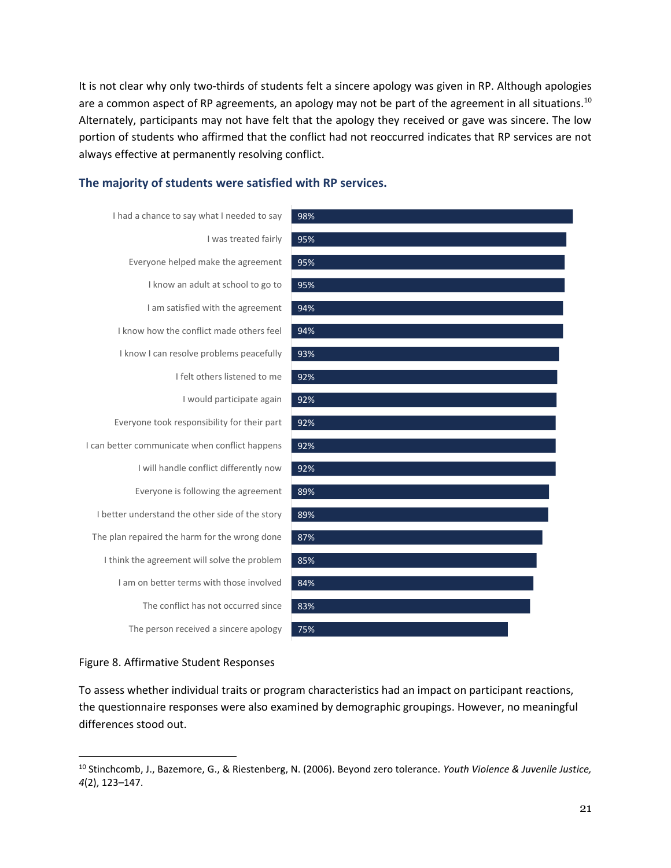It is not clear why only two-thirds of students felt a sincere apology was given in RP. Although apologies are a common aspect of RP agreements, an apology may not be part of the agreement in all situations.<sup>10</sup> Alternately, participants may not have felt that the apology they received or gave was sincere. The low portion of students who affirmed that the conflict had not reoccurred indicates that RP services are not always effective at permanently resolving conflict.

#### **The majority of students were satisfied with RP services.**





#### Figure 8. Affirmative Student Responses

 $\overline{a}$ 

To assess whether individual traits or program characteristics had an impact on participant reactions, the questionnaire responses were also examined by demographic groupings. However, no meaningful differences stood out.

<sup>10</sup> Stinchcomb, J., Bazemore, G., & Riestenberg, N. (2006). Beyond zero tolerance. *Youth Violence & Juvenile Justice, 4*(2), 123–147.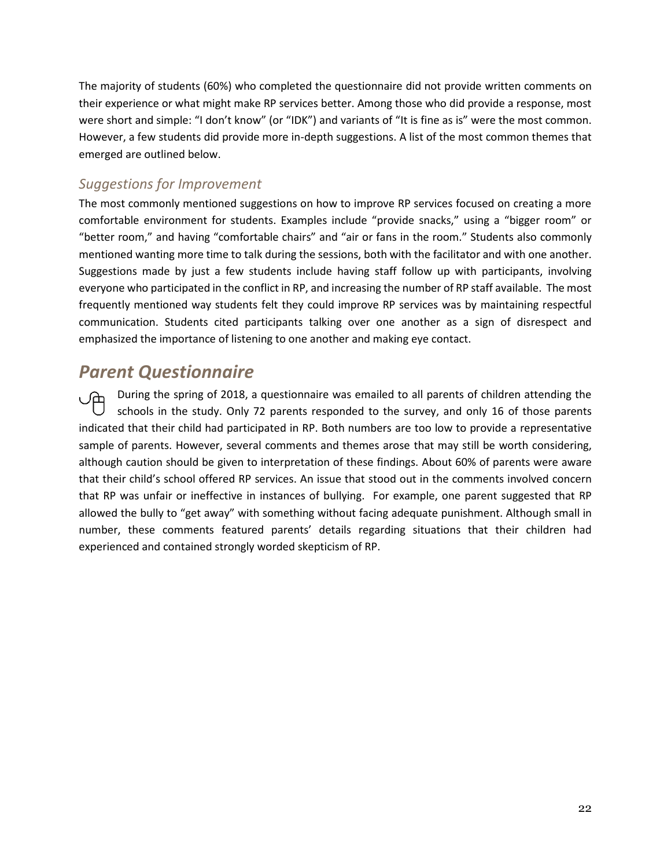The majority of students (60%) who completed the questionnaire did not provide written comments on their experience or what might make RP services better. Among those who did provide a response, most were short and simple: "I don't know" (or "IDK") and variants of "It is fine as is" were the most common. However, a few students did provide more in-depth suggestions. A list of the most common themes that emerged are outlined below.

#### *Suggestions for Improvement*

The most commonly mentioned suggestions on how to improve RP services focused on creating a more comfortable environment for students. Examples include "provide snacks," using a "bigger room" or "better room," and having "comfortable chairs" and "air or fans in the room." Students also commonly mentioned wanting more time to talk during the sessions, both with the facilitator and with one another. Suggestions made by just a few students include having staff follow up with participants, involving everyone who participated in the conflict in RP, and increasing the number of RP staff available. The most frequently mentioned way students felt they could improve RP services was by maintaining respectful communication. Students cited participants talking over one another as a sign of disrespect and emphasized the importance of listening to one another and making eye contact.

## *Parent Questionnaire*

During the spring of 2018, a questionnaire was emailed to all parents of children attending the schools in the study. Only 72 parents responded to the survey, and only 16 of those parents indicated that their child had participated in RP. Both numbers are too low to provide a representative sample of parents. However, several comments and themes arose that may still be worth considering, although caution should be given to interpretation of these findings. About 60% of parents were aware that their child's school offered RP services. An issue that stood out in the comments involved concern that RP was unfair or ineffective in instances of bullying. For example, one parent suggested that RP allowed the bully to "get away" with something without facing adequate punishment. Although small in number, these comments featured parents' details regarding situations that their children had experienced and contained strongly worded skepticism of RP.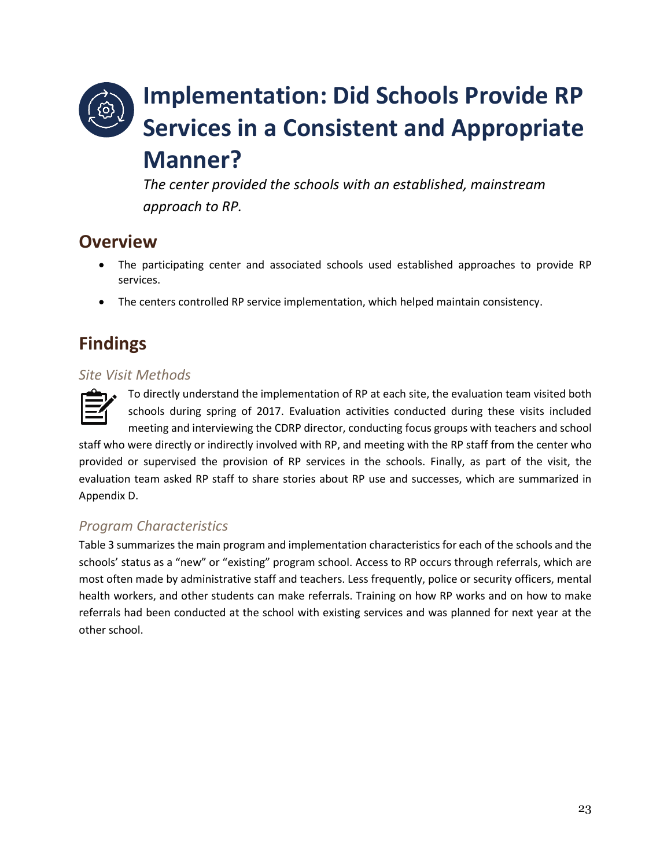## **Implementation: Did Schools Provide RP Services in a Consistent and Appropriate Manner?**

*The center provided the schools with an established, mainstream approach to RP.*

## **Overview**

- The participating center and associated schools used established approaches to provide RP services.
- The centers controlled RP service implementation, which helped maintain consistency.

## **Findings**

#### *Site Visit Methods*



To directly understand the implementation of RP at each site, the evaluation team visited both schools during spring of 2017. Evaluation activities conducted during these visits included meeting and interviewing the CDRP director, conducting focus groups with teachers and school

staff who were directly or indirectly involved with RP, and meeting with the RP staff from the center who provided or supervised the provision of RP services in the schools. Finally, as part of the visit, the evaluation team asked RP staff to share stories about RP use and successes, which are summarized in Appendix D.

### *Program Characteristics*

Table 3 summarizes the main program and implementation characteristics for each of the schools and the schools' status as a "new" or "existing" program school. Access to RP occurs through referrals, which are most often made by administrative staff and teachers. Less frequently, police or security officers, mental health workers, and other students can make referrals. Training on how RP works and on how to make referrals had been conducted at the school with existing services and was planned for next year at the other school.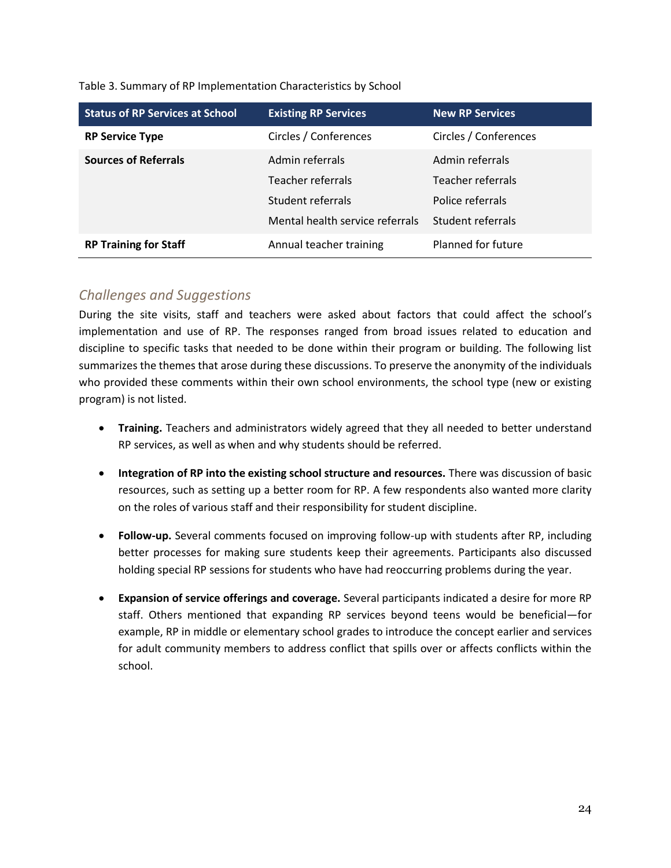| <b>Status of RP Services at School</b> | <b>Existing RP Services</b>     | <b>New RP Services</b> |  |
|----------------------------------------|---------------------------------|------------------------|--|
| <b>RP Service Type</b>                 | Circles / Conferences           | Circles / Conferences  |  |
| <b>Sources of Referrals</b>            | Admin referrals                 | Admin referrals        |  |
|                                        | Teacher referrals               | Teacher referrals      |  |
|                                        | Student referrals               | Police referrals       |  |
|                                        | Mental health service referrals | Student referrals      |  |
| <b>RP Training for Staff</b>           | Annual teacher training         | Planned for future     |  |

Table 3. Summary of RP Implementation Characteristics by School

#### *Challenges and Suggestions*

During the site visits, staff and teachers were asked about factors that could affect the school's implementation and use of RP. The responses ranged from broad issues related to education and discipline to specific tasks that needed to be done within their program or building. The following list summarizes the themes that arose during these discussions. To preserve the anonymity of the individuals who provided these comments within their own school environments, the school type (new or existing program) is not listed.

- **Training.** Teachers and administrators widely agreed that they all needed to better understand RP services, as well as when and why students should be referred.
- **Integration of RP into the existing school structure and resources.** There was discussion of basic resources, such as setting up a better room for RP. A few respondents also wanted more clarity on the roles of various staff and their responsibility for student discipline.
- **Follow-up.** Several comments focused on improving follow-up with students after RP, including better processes for making sure students keep their agreements. Participants also discussed holding special RP sessions for students who have had reoccurring problems during the year.
- **Expansion of service offerings and coverage.** Several participants indicated a desire for more RP staff. Others mentioned that expanding RP services beyond teens would be beneficial—for example, RP in middle or elementary school grades to introduce the concept earlier and services for adult community members to address conflict that spills over or affects conflicts within the school.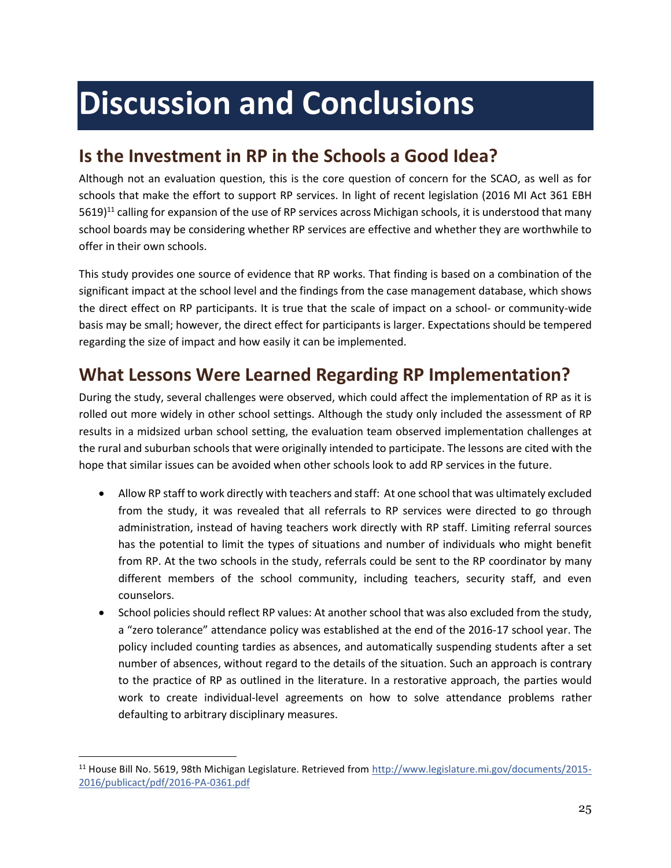# <span id="page-25-0"></span>**Discussion and Conclusions**

## <span id="page-25-1"></span>**Is the Investment in RP in the Schools a Good Idea?**

Although not an evaluation question, this is the core question of concern for the SCAO, as well as for schools that make the effort to support RP services. In light of recent legislation (2016 MI Act 361 EBH  $5619$ <sup>11</sup> calling for expansion of the use of RP services across Michigan schools, it is understood that many school boards may be considering whether RP services are effective and whether they are worthwhile to offer in their own schools.

This study provides one source of evidence that RP works. That finding is based on a combination of the significant impact at the school level and the findings from the case management database, which shows the direct effect on RP participants. It is true that the scale of impact on a school- or community-wide basis may be small; however, the direct effect for participants is larger. Expectations should be tempered regarding the size of impact and how easily it can be implemented.

## <span id="page-25-2"></span>**What Lessons Were Learned Regarding RP Implementation?**

During the study, several challenges were observed, which could affect the implementation of RP as it is rolled out more widely in other school settings. Although the study only included the assessment of RP results in a midsized urban school setting, the evaluation team observed implementation challenges at the rural and suburban schools that were originally intended to participate. The lessons are cited with the hope that similar issues can be avoided when other schools look to add RP services in the future.

- Allow RP staff to work directly with teachers and staff: At one school that was ultimately excluded from the study, it was revealed that all referrals to RP services were directed to go through administration, instead of having teachers work directly with RP staff. Limiting referral sources has the potential to limit the types of situations and number of individuals who might benefit from RP. At the two schools in the study, referrals could be sent to the RP coordinator by many different members of the school community, including teachers, security staff, and even counselors.
- School policies should reflect RP values: At another school that was also excluded from the study, a "zero tolerance" attendance policy was established at the end of the 2016-17 school year. The policy included counting tardies as absences, and automatically suspending students after a set number of absences, without regard to the details of the situation. Such an approach is contrary to the practice of RP as outlined in the literature. In a restorative approach, the parties would work to create individual-level agreements on how to solve attendance problems rather defaulting to arbitrary disciplinary measures.

 $\overline{a}$ 

<sup>&</sup>lt;sup>11</sup> House Bill No. 5619, 98th Michigan Legislature. Retrieved fro[m http://www.legislature.mi.gov/documents/2015-](http://www.legislature.mi.gov/documents/2015-2016/publicact/pdf/2016-PA-0361.pdf) [2016/publicact/pdf/2016-PA-0361.pdf](http://www.legislature.mi.gov/documents/2015-2016/publicact/pdf/2016-PA-0361.pdf)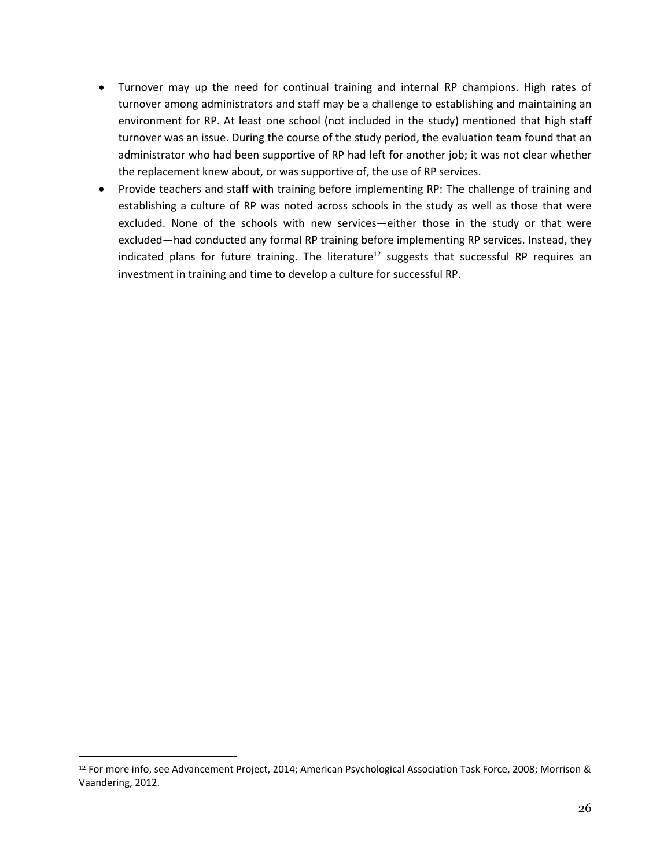- Turnover may up the need for continual training and internal RP champions. High rates of turnover among administrators and staff may be a challenge to establishing and maintaining an environment for RP. At least one school (not included in the study) mentioned that high staff turnover was an issue. During the course of the study period, the evaluation team found that an administrator who had been supportive of RP had left for another job; it was not clear whether the replacement knew about, or was supportive of, the use of RP services.
- Provide teachers and staff with training before implementing RP: The challenge of training and establishing a culture of RP was noted across schools in the study as well as those that were excluded. None of the schools with new services—either those in the study or that were excluded—had conducted any formal RP training before implementing RP services. Instead, they indicated plans for future training. The literature<sup>12</sup> suggests that successful RP requires an investment in training and time to develop a culture for successful RP.

 $\overline{a}$ 

<sup>12</sup> For more info, see Advancement Project, 2014; American Psychological Association Task Force, 2008; Morrison & Vaandering, 2012.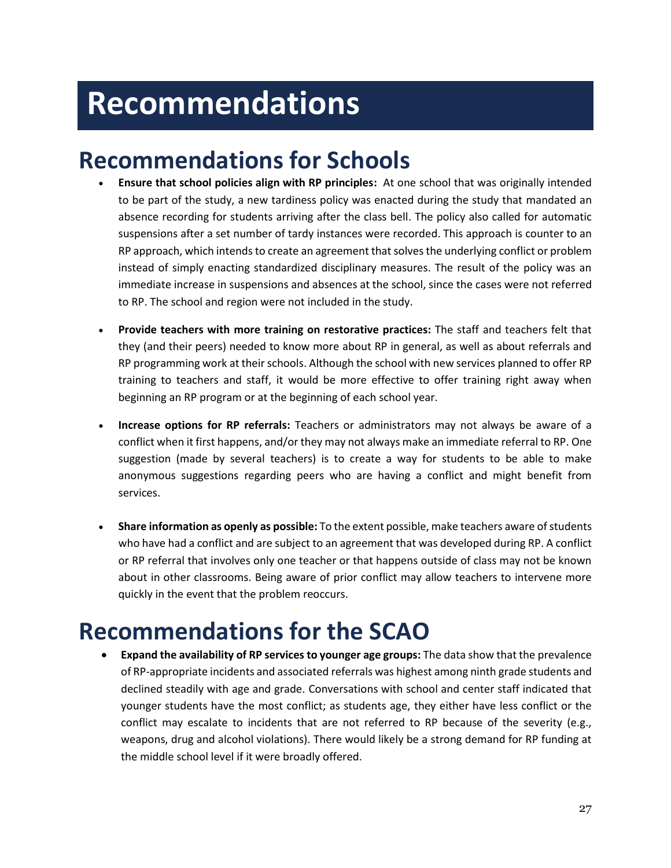# <span id="page-27-0"></span>**Recommendations**

## **Recommendations for Schools**

- **Ensure that school policies align with RP principles:** At one school that was originally intended to be part of the study, a new tardiness policy was enacted during the study that mandated an absence recording for students arriving after the class bell. The policy also called for automatic suspensions after a set number of tardy instances were recorded. This approach is counter to an RP approach, which intends to create an agreement that solves the underlying conflict or problem instead of simply enacting standardized disciplinary measures. The result of the policy was an immediate increase in suspensions and absences at the school, since the cases were not referred to RP. The school and region were not included in the study.
- **Provide teachers with more training on restorative practices:** The staff and teachers felt that they (and their peers) needed to know more about RP in general, as well as about referrals and RP programming work at their schools. Although the school with new services planned to offer RP training to teachers and staff, it would be more effective to offer training right away when beginning an RP program or at the beginning of each school year.
- **Increase options for RP referrals:** Teachers or administrators may not always be aware of a conflict when it first happens, and/or they may not always make an immediate referral to RP. One suggestion (made by several teachers) is to create a way for students to be able to make anonymous suggestions regarding peers who are having a conflict and might benefit from services.
- **Share information as openly as possible:** To the extent possible, make teachers aware of students who have had a conflict and are subject to an agreement that was developed during RP. A conflict or RP referral that involves only one teacher or that happens outside of class may not be known about in other classrooms. Being aware of prior conflict may allow teachers to intervene more quickly in the event that the problem reoccurs.

## **Recommendations for the SCAO**

 **Expand the availability of RP services to younger age groups:** The data show that the prevalence of RP-appropriate incidents and associated referrals was highest among ninth grade students and declined steadily with age and grade. Conversations with school and center staff indicated that younger students have the most conflict; as students age, they either have less conflict or the conflict may escalate to incidents that are not referred to RP because of the severity (e.g., weapons, drug and alcohol violations). There would likely be a strong demand for RP funding at the middle school level if it were broadly offered.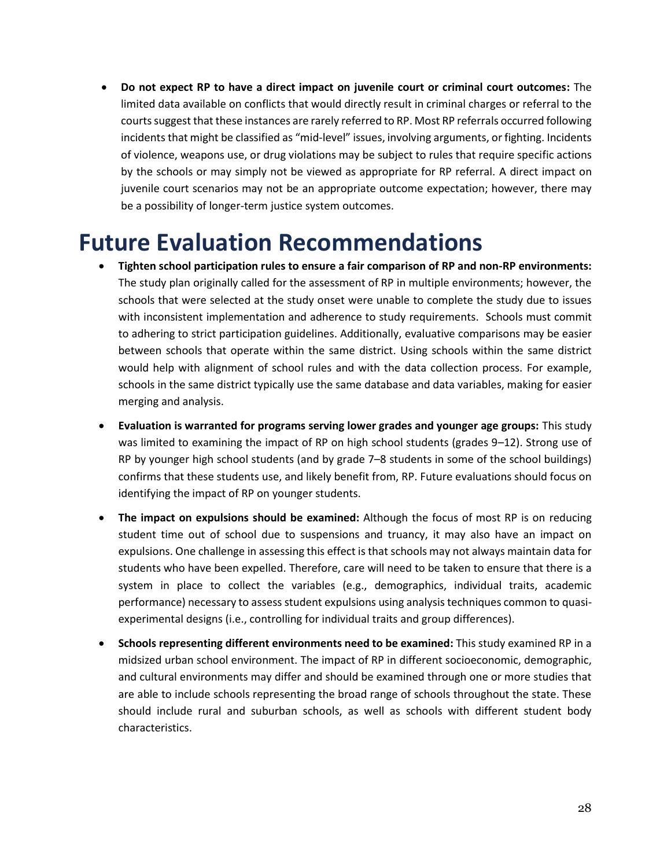**Do not expect RP to have a direct impact on juvenile court or criminal court outcomes:** The limited data available on conflicts that would directly result in criminal charges or referral to the courts suggest that these instances are rarely referred to RP. Most RP referrals occurred following incidents that might be classified as "mid-level" issues, involving arguments, or fighting. Incidents of violence, weapons use, or drug violations may be subject to rules that require specific actions by the schools or may simply not be viewed as appropriate for RP referral. A direct impact on juvenile court scenarios may not be an appropriate outcome expectation; however, there may be a possibility of longer-term justice system outcomes.

## **Future Evaluation Recommendations**

- **Tighten school participation rules to ensure a fair comparison of RP and non-RP environments:** The study plan originally called for the assessment of RP in multiple environments; however, the schools that were selected at the study onset were unable to complete the study due to issues with inconsistent implementation and adherence to study requirements. Schools must commit to adhering to strict participation guidelines. Additionally, evaluative comparisons may be easier between schools that operate within the same district. Using schools within the same district would help with alignment of school rules and with the data collection process. For example, schools in the same district typically use the same database and data variables, making for easier merging and analysis.
- **Evaluation is warranted for programs serving lower grades and younger age groups:** This study was limited to examining the impact of RP on high school students (grades 9–12). Strong use of RP by younger high school students (and by grade 7–8 students in some of the school buildings) confirms that these students use, and likely benefit from, RP. Future evaluations should focus on identifying the impact of RP on younger students.
- **The impact on expulsions should be examined:** Although the focus of most RP is on reducing student time out of school due to suspensions and truancy, it may also have an impact on expulsions. One challenge in assessing this effect is that schools may not always maintain data for students who have been expelled. Therefore, care will need to be taken to ensure that there is a system in place to collect the variables (e.g., demographics, individual traits, academic performance) necessary to assess student expulsions using analysis techniques common to quasiexperimental designs (i.e., controlling for individual traits and group differences).
- **Schools representing different environments need to be examined:** This study examined RP in a midsized urban school environment. The impact of RP in different socioeconomic, demographic, and cultural environments may differ and should be examined through one or more studies that are able to include schools representing the broad range of schools throughout the state. These should include rural and suburban schools, as well as schools with different student body characteristics.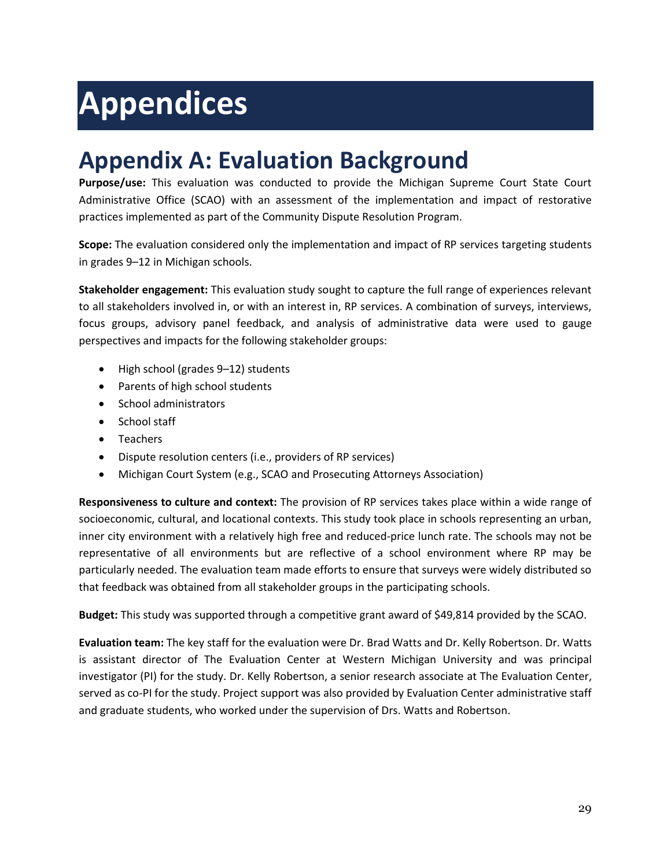# <span id="page-29-0"></span>**Appendices**

## <span id="page-29-1"></span>**Appendix A: Evaluation Background**

**Purpose/use:** This evaluation was conducted to provide the Michigan Supreme Court State Court Administrative Office (SCAO) with an assessment of the implementation and impact of restorative practices implemented as part of the Community Dispute Resolution Program.

**Scope:** The evaluation considered only the implementation and impact of RP services targeting students in grades 9–12 in Michigan schools.

**Stakeholder engagement:** This evaluation study sought to capture the full range of experiences relevant to all stakeholders involved in, or with an interest in, RP services. A combination of surveys, interviews, focus groups, advisory panel feedback, and analysis of administrative data were used to gauge perspectives and impacts for the following stakeholder groups:

- High school (grades 9–12) students
- Parents of high school students
- School administrators
- School staff
- Teachers
- Dispute resolution centers (i.e., providers of RP services)
- Michigan Court System (e.g., SCAO and Prosecuting Attorneys Association)

**Responsiveness to culture and context:** The provision of RP services takes place within a wide range of socioeconomic, cultural, and locational contexts. This study took place in schools representing an urban, inner city environment with a relatively high free and reduced-price lunch rate. The schools may not be representative of all environments but are reflective of a school environment where RP may be particularly needed. The evaluation team made efforts to ensure that surveys were widely distributed so that feedback was obtained from all stakeholder groups in the participating schools.

**Budget:** This study was supported through a competitive grant award of \$49,814 provided by the SCAO.

**Evaluation team:** The key staff for the evaluation were Dr. Brad Watts and Dr. Kelly Robertson. Dr. Watts is assistant director of The Evaluation Center at Western Michigan University and was principal investigator (PI) for the study. Dr. Kelly Robertson, a senior research associate at The Evaluation Center, served as co-PI for the study. Project support was also provided by Evaluation Center administrative staff and graduate students, who worked under the supervision of Drs. Watts and Robertson.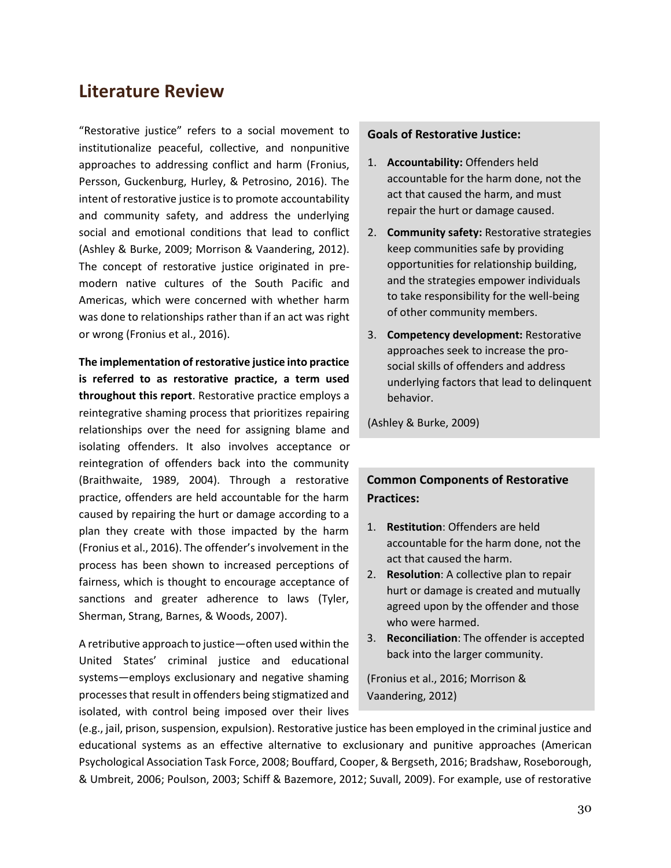### **Literature Review**

"Restorative justice" refers to a social movement to institutionalize peaceful, collective, and nonpunitive approaches to addressing conflict and harm (Fronius, Persson, Guckenburg, Hurley, & Petrosino, 2016). The intent of restorative justice is to promote accountability and community safety, and address the underlying social and emotional conditions that lead to conflict (Ashley & Burke, 2009; Morrison & Vaandering, 2012). The concept of restorative justice originated in premodern native cultures of the South Pacific and Americas, which were concerned with whether harm was done to relationships rather than if an act was right or wrong (Fronius et al., 2016).

**The implementation of restorative justice into practice is referred to as restorative practice, a term used throughout this report**. Restorative practice employs a reintegrative shaming process that prioritizes repairing relationships over the need for assigning blame and isolating offenders. It also involves acceptance or reintegration of offenders back into the community (Braithwaite, 1989, 2004). Through a restorative practice, offenders are held accountable for the harm caused by repairing the hurt or damage according to a plan they create with those impacted by the harm (Fronius et al., 2016). The offender's involvement in the process has been shown to increased perceptions of fairness, which is thought to encourage acceptance of sanctions and greater adherence to laws (Tyler, Sherman, Strang, Barnes, & Woods, 2007).

A retributive approach to justice—often used within the United States' criminal justice and educational systems—employs exclusionary and negative shaming processes that result in offenders being stigmatized and isolated, with control being imposed over their lives

#### **Goals of Restorative Justice:**

- 1. **Accountability:** Offenders held accountable for the harm done, not the act that caused the harm, and must repair the hurt or damage caused.
- 2. **Community safety:** Restorative strategies keep communities safe by providing opportunities for relationship building, and the strategies empower individuals to take responsibility for the well-being of other community members.
- 3. **Competency development:** Restorative approaches seek to increase the prosocial skills of offenders and address underlying factors that lead to delinquent behavior.

(Ashley & Burke, 2009)

#### **Common Components of Restorative Practices:**

- 1. **Restitution**: Offenders are held accountable for the harm done, not the act that caused the harm.
- 2. **Resolution**: A collective plan to repair hurt or damage is created and mutually agreed upon by the offender and those who were harmed.
- 3. **Reconciliation**: The offender is accepted back into the larger community.

(Fronius et al., 2016; Morrison & Vaandering, 2012)

(e.g., jail, prison, suspension, expulsion). Restorative justice has been employed in the criminal justice and educational systems as an effective alternative to exclusionary and punitive approaches (American Psychological Association Task Force, 2008; Bouffard, Cooper, & Bergseth, 2016; Bradshaw, Roseborough, & Umbreit, 2006; Poulson, 2003; Schiff & Bazemore, 2012; Suvall, 2009). For example, use of restorative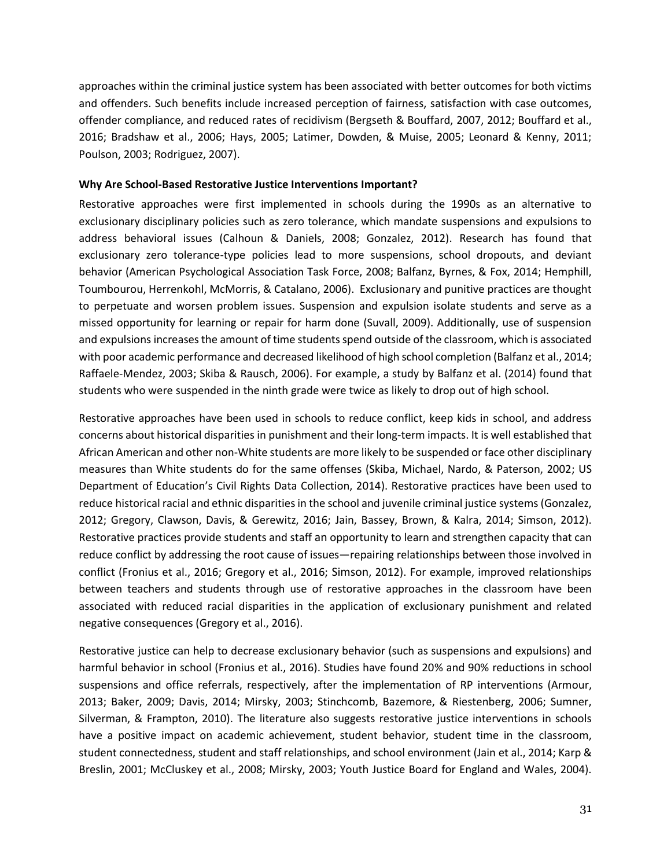approaches within the criminal justice system has been associated with better outcomes for both victims and offenders. Such benefits include increased perception of fairness, satisfaction with case outcomes, offender compliance, and reduced rates of recidivism (Bergseth & Bouffard, 2007, 2012; Bouffard et al., 2016; Bradshaw et al., 2006; Hays, 2005; Latimer, Dowden, & Muise, 2005; Leonard & Kenny, 2011; Poulson, 2003; Rodriguez, 2007).

#### **Why Are School-Based Restorative Justice Interventions Important?**

Restorative approaches were first implemented in schools during the 1990s as an alternative to exclusionary disciplinary policies such as zero tolerance, which mandate suspensions and expulsions to address behavioral issues (Calhoun & Daniels, 2008; Gonzalez, 2012). Research has found that exclusionary zero tolerance-type policies lead to more suspensions, school dropouts, and deviant behavior (American Psychological Association Task Force, 2008; Balfanz, Byrnes, & Fox, 2014; Hemphill, Toumbourou, Herrenkohl, McMorris, & Catalano, 2006). Exclusionary and punitive practices are thought to perpetuate and worsen problem issues. Suspension and expulsion isolate students and serve as a missed opportunity for learning or repair for harm done (Suvall, 2009). Additionally, use of suspension and expulsions increasesthe amount of time students spend outside of the classroom, which is associated with poor academic performance and decreased likelihood of high school completion (Balfanz et al., 2014; Raffaele-Mendez, 2003; Skiba & Rausch, 2006). For example, a study by Balfanz et al. (2014) found that students who were suspended in the ninth grade were twice as likely to drop out of high school.

Restorative approaches have been used in schools to reduce conflict, keep kids in school, and address concerns about historical disparities in punishment and their long-term impacts. It is well established that African American and other non-White students are more likely to be suspended or face other disciplinary measures than White students do for the same offenses (Skiba, Michael, Nardo, & Paterson, 2002; US Department of Education's Civil Rights Data Collection, 2014). Restorative practices have been used to reduce historical racial and ethnic disparities in the school and juvenile criminal justice systems (Gonzalez, 2012; Gregory, Clawson, Davis, & Gerewitz, 2016; Jain, Bassey, Brown, & Kalra, 2014; Simson, 2012). Restorative practices provide students and staff an opportunity to learn and strengthen capacity that can reduce conflict by addressing the root cause of issues—repairing relationships between those involved in conflict (Fronius et al., 2016; Gregory et al., 2016; Simson, 2012). For example, improved relationships between teachers and students through use of restorative approaches in the classroom have been associated with reduced racial disparities in the application of exclusionary punishment and related negative consequences (Gregory et al., 2016).

Restorative justice can help to decrease exclusionary behavior (such as suspensions and expulsions) and harmful behavior in school (Fronius et al., 2016). Studies have found 20% and 90% reductions in school suspensions and office referrals, respectively, after the implementation of RP interventions (Armour, 2013; Baker, 2009; Davis, 2014; Mirsky, 2003; Stinchcomb, Bazemore, & Riestenberg, 2006; Sumner, Silverman, & Frampton, 2010). The literature also suggests restorative justice interventions in schools have a positive impact on academic achievement, student behavior, student time in the classroom, student connectedness, student and staff relationships, and school environment (Jain et al., 2014; Karp & Breslin, 2001; McCluskey et al., 2008; Mirsky, 2003; Youth Justice Board for England and Wales, 2004).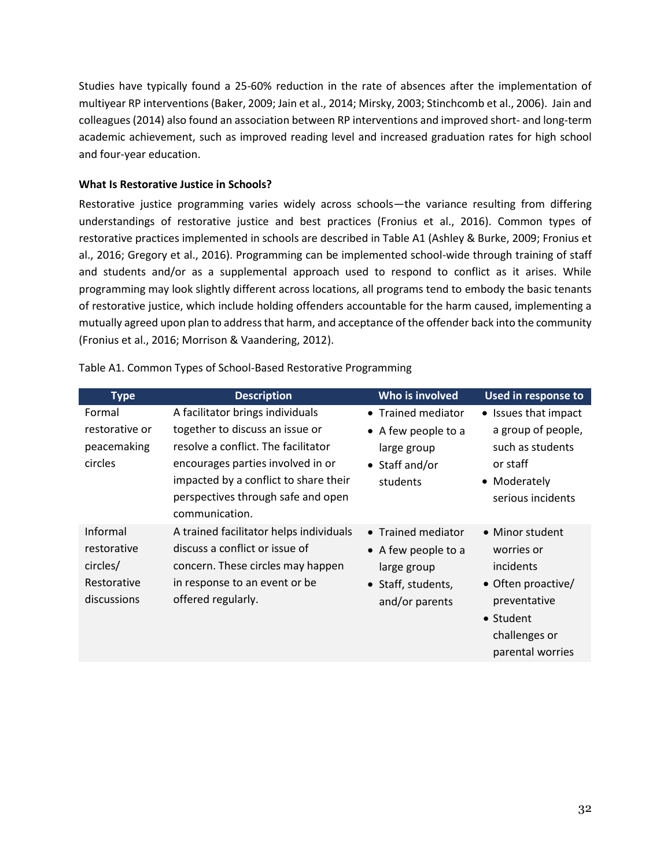Studies have typically found a 25-60% reduction in the rate of absences after the implementation of multiyear RP interventions (Baker, 2009; Jain et al., 2014; Mirsky, 2003; Stinchcomb et al., 2006). Jain and colleagues (2014) also found an association between RP interventions and improved short- and long-term academic achievement, such as improved reading level and increased graduation rates for high school and four-year education.

#### **What Is Restorative Justice in Schools?**

Restorative justice programming varies widely across schools—the variance resulting from differing understandings of restorative justice and best practices (Fronius et al., 2016). Common types of restorative practices implemented in schools are described in Table A1 (Ashley & Burke, 2009; Fronius et al., 2016; Gregory et al., 2016). Programming can be implemented school-wide through training of staff and students and/or as a supplemental approach used to respond to conflict as it arises. While programming may look slightly different across locations, all programs tend to embody the basic tenants of restorative justice, which include holding offenders accountable for the harm caused, implementing a mutually agreed upon plan to address that harm, and acceptance of the offender back into the community (Fronius et al., 2016; Morrison & Vaandering, 2012).

| <b>Type</b>                                                       | <b>Description</b>                                                                                                                                                                                           | Who is involved                                                                                  | Used in response to                                                                                                                |
|-------------------------------------------------------------------|--------------------------------------------------------------------------------------------------------------------------------------------------------------------------------------------------------------|--------------------------------------------------------------------------------------------------|------------------------------------------------------------------------------------------------------------------------------------|
| Formal                                                            | A facilitator brings individuals                                                                                                                                                                             | • Trained mediator                                                                               | • Issues that impact                                                                                                               |
| restorative or<br>peacemaking<br>circles                          | together to discuss an issue or<br>resolve a conflict. The facilitator<br>encourages parties involved in or<br>impacted by a conflict to share their<br>perspectives through safe and open<br>communication. | • A few people to a<br>large group<br>$\bullet$ Staff and/or<br>students                         | a group of people,<br>such as students<br>or staff<br>• Moderately<br>serious incidents                                            |
| Informal<br>restorative<br>circles/<br>Restorative<br>discussions | A trained facilitator helps individuals<br>discuss a conflict or issue of<br>concern. These circles may happen<br>in response to an event or be<br>offered regularly.                                        | • Trained mediator<br>• A few people to a<br>large group<br>• Staff, students,<br>and/or parents | • Minor student<br>worries or<br>incidents<br>• Often proactive/<br>preventative<br>• Student<br>challenges or<br>parental worries |

Table A1. Common Types of School-Based Restorative Programming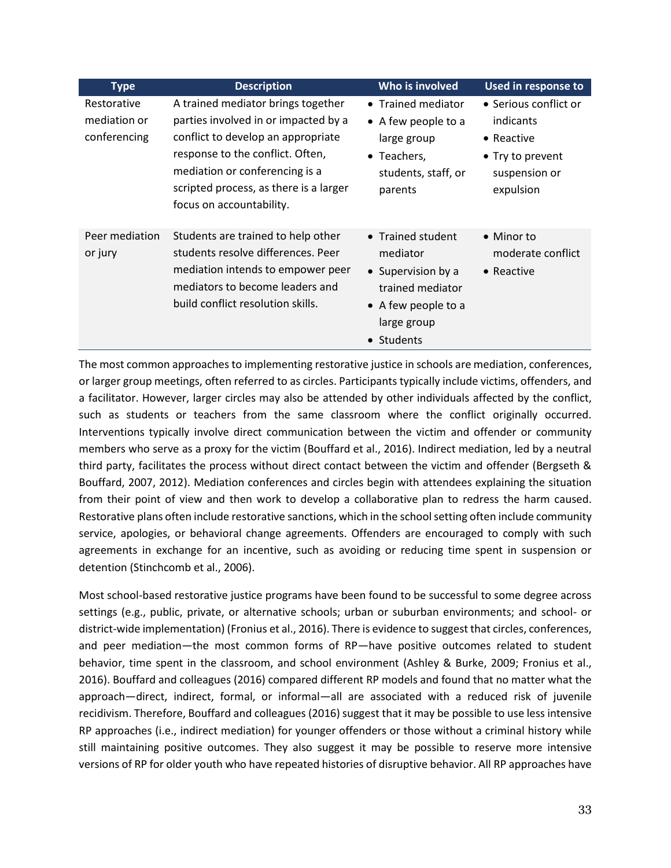| <b>Type</b>    | <b>Description</b>                     | Who is involved     | <b>Used in response to</b> |
|----------------|----------------------------------------|---------------------|----------------------------|
| Restorative    | A trained mediator brings together     | • Trained mediator  | • Serious conflict or      |
| mediation or   | parties involved in or impacted by a   | • A few people to a | indicants                  |
| conferencing   | conflict to develop an appropriate     | large group         | $\bullet$ Reactive         |
|                | response to the conflict. Often,       | • Teachers,         | • Try to prevent           |
|                | mediation or conferencing is a         | students, staff, or | suspension or              |
|                | scripted process, as there is a larger | parents             | expulsion                  |
|                | focus on accountability.               |                     |                            |
| Peer mediation | Students are trained to help other     | • Trained student   | • Minor to                 |
| or jury        | students resolve differences. Peer     | mediator            | moderate conflict          |
|                | mediation intends to empower peer      | • Supervision by a  | $\bullet$ Reactive         |
|                | mediators to become leaders and        | trained mediator    |                            |
|                | build conflict resolution skills.      | • A few people to a |                            |
|                |                                        | large group         |                            |
|                |                                        | • Students          |                            |

The most common approaches to implementing restorative justice in schools are mediation, conferences, or larger group meetings, often referred to as circles. Participants typically include victims, offenders, and a facilitator. However, larger circles may also be attended by other individuals affected by the conflict, such as students or teachers from the same classroom where the conflict originally occurred. Interventions typically involve direct communication between the victim and offender or community members who serve as a proxy for the victim (Bouffard et al., 2016). Indirect mediation, led by a neutral third party, facilitates the process without direct contact between the victim and offender (Bergseth & Bouffard, 2007, 2012). Mediation conferences and circles begin with attendees explaining the situation from their point of view and then work to develop a collaborative plan to redress the harm caused. Restorative plans often include restorative sanctions, which in the school setting often include community service, apologies, or behavioral change agreements. Offenders are encouraged to comply with such agreements in exchange for an incentive, such as avoiding or reducing time spent in suspension or detention (Stinchcomb et al., 2006).

Most school-based restorative justice programs have been found to be successful to some degree across settings (e.g., public, private, or alternative schools; urban or suburban environments; and school- or district-wide implementation) (Fronius et al., 2016). There is evidence to suggest that circles, conferences, and peer mediation—the most common forms of RP—have positive outcomes related to student behavior, time spent in the classroom, and school environment (Ashley & Burke, 2009; Fronius et al., 2016). Bouffard and colleagues (2016) compared different RP models and found that no matter what the approach—direct, indirect, formal, or informal—all are associated with a reduced risk of juvenile recidivism. Therefore, Bouffard and colleagues (2016) suggest that it may be possible to use less intensive RP approaches (i.e., indirect mediation) for younger offenders or those without a criminal history while still maintaining positive outcomes. They also suggest it may be possible to reserve more intensive versions of RP for older youth who have repeated histories of disruptive behavior. All RP approaches have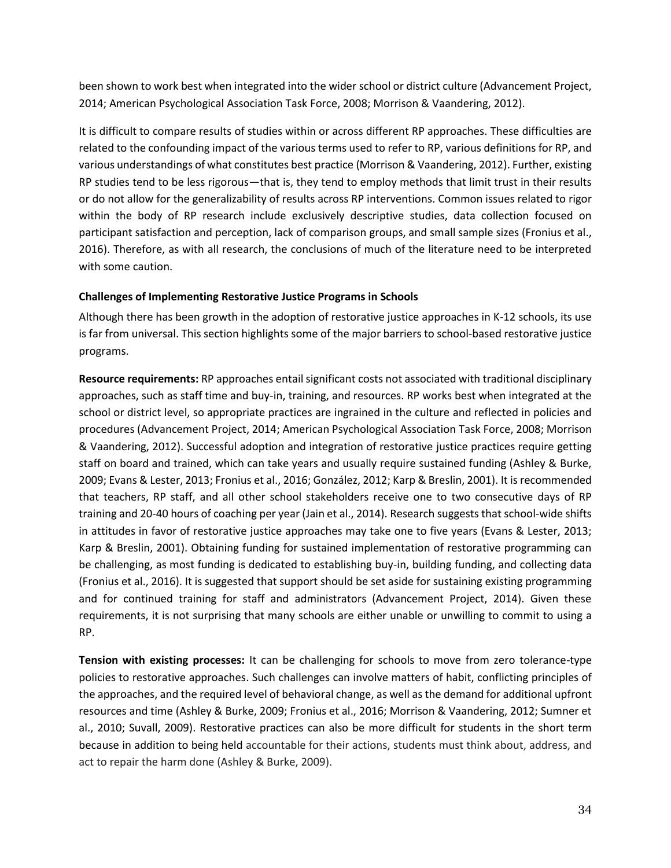been shown to work best when integrated into the wider school or district culture (Advancement Project, 2014; American Psychological Association Task Force, 2008; Morrison & Vaandering, 2012).

It is difficult to compare results of studies within or across different RP approaches. These difficulties are related to the confounding impact of the various terms used to refer to RP, various definitions for RP, and various understandings of what constitutes best practice (Morrison & Vaandering, 2012). Further, existing RP studies tend to be less rigorous—that is, they tend to employ methods that limit trust in their results or do not allow for the generalizability of results across RP interventions. Common issues related to rigor within the body of RP research include exclusively descriptive studies, data collection focused on participant satisfaction and perception, lack of comparison groups, and small sample sizes (Fronius et al., 2016). Therefore, as with all research, the conclusions of much of the literature need to be interpreted with some caution.

#### **Challenges of Implementing Restorative Justice Programs in Schools**

Although there has been growth in the adoption of restorative justice approaches in K-12 schools, its use is far from universal. This section highlights some of the major barriers to school-based restorative justice programs.

**Resource requirements:** RP approaches entail significant costs not associated with traditional disciplinary approaches, such as staff time and buy-in, training, and resources. RP works best when integrated at the school or district level, so appropriate practices are ingrained in the culture and reflected in policies and procedures (Advancement Project, 2014; American Psychological Association Task Force, 2008; Morrison & Vaandering, 2012). Successful adoption and integration of restorative justice practices require getting staff on board and trained, which can take years and usually require sustained funding (Ashley & Burke, 2009; Evans & Lester, 2013; Fronius et al., 2016; González, 2012; Karp & Breslin, 2001). It is recommended that teachers, RP staff, and all other school stakeholders receive one to two consecutive days of RP training and 20-40 hours of coaching per year (Jain et al., 2014). Research suggests that school-wide shifts in attitudes in favor of restorative justice approaches may take one to five years (Evans & Lester, 2013; Karp & Breslin, 2001). Obtaining funding for sustained implementation of restorative programming can be challenging, as most funding is dedicated to establishing buy-in, building funding, and collecting data (Fronius et al., 2016). It is suggested that support should be set aside for sustaining existing programming and for continued training for staff and administrators (Advancement Project, 2014). Given these requirements, it is not surprising that many schools are either unable or unwilling to commit to using a RP.

**Tension with existing processes:** It can be challenging for schools to move from zero tolerance-type policies to restorative approaches. Such challenges can involve matters of habit, conflicting principles of the approaches, and the required level of behavioral change, as well as the demand for additional upfront resources and time (Ashley & Burke, 2009; Fronius et al., 2016; Morrison & Vaandering, 2012; Sumner et al., 2010; Suvall, 2009). Restorative practices can also be more difficult for students in the short term because in addition to being held accountable for their actions, students must think about, address, and act to repair the harm done (Ashley & Burke, 2009).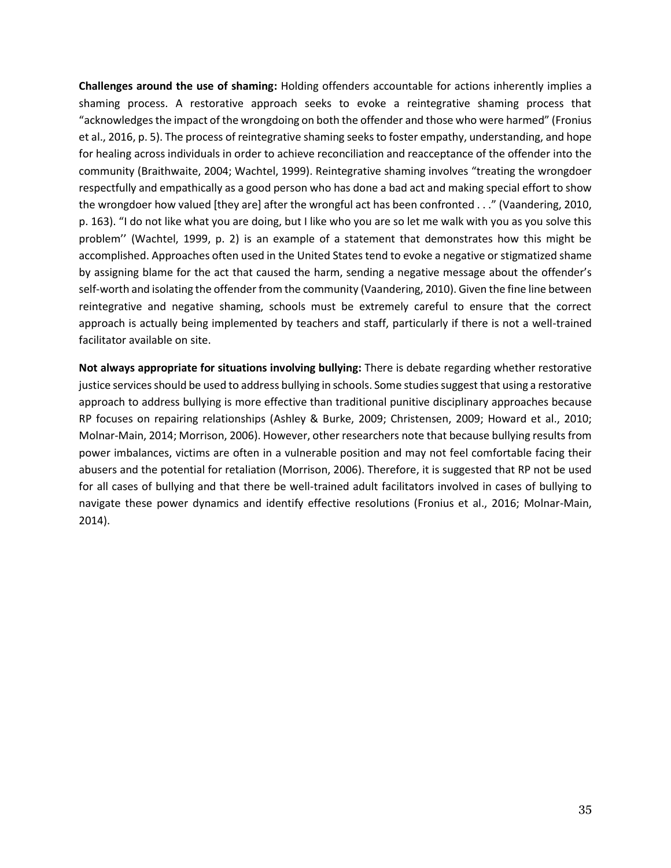**Challenges around the use of shaming:** Holding offenders accountable for actions inherently implies a shaming process. A restorative approach seeks to evoke a reintegrative shaming process that "acknowledges the impact of the wrongdoing on both the offender and those who were harmed" (Fronius et al., 2016, p. 5). The process of reintegrative shaming seeks to foster empathy, understanding, and hope for healing across individuals in order to achieve reconciliation and reacceptance of the offender into the community (Braithwaite, 2004; Wachtel, 1999). Reintegrative shaming involves "treating the wrongdoer respectfully and empathically as a good person who has done a bad act and making special effort to show the wrongdoer how valued [they are] after the wrongful act has been confronted . . ." (Vaandering, 2010, p. 163). "I do not like what you are doing, but I like who you are so let me walk with you as you solve this problem'' (Wachtel, 1999, p. 2) is an example of a statement that demonstrates how this might be accomplished. Approaches often used in the United States tend to evoke a negative or stigmatized shame by assigning blame for the act that caused the harm, sending a negative message about the offender's self-worth and isolating the offender from the community (Vaandering, 2010). Given the fine line between reintegrative and negative shaming, schools must be extremely careful to ensure that the correct approach is actually being implemented by teachers and staff, particularly if there is not a well-trained facilitator available on site.

**Not always appropriate for situations involving bullying:** There is debate regarding whether restorative justice services should be used to address bullying in schools. Some studies suggest that using a restorative approach to address bullying is more effective than traditional punitive disciplinary approaches because RP focuses on repairing relationships (Ashley & Burke, 2009; Christensen, 2009; Howard et al., 2010; Molnar-Main, 2014; Morrison, 2006). However, other researchers note that because bullying results from power imbalances, victims are often in a vulnerable position and may not feel comfortable facing their abusers and the potential for retaliation (Morrison, 2006). Therefore, it is suggested that RP not be used for all cases of bullying and that there be well-trained adult facilitators involved in cases of bullying to navigate these power dynamics and identify effective resolutions (Fronius et al., 2016; Molnar-Main, 2014).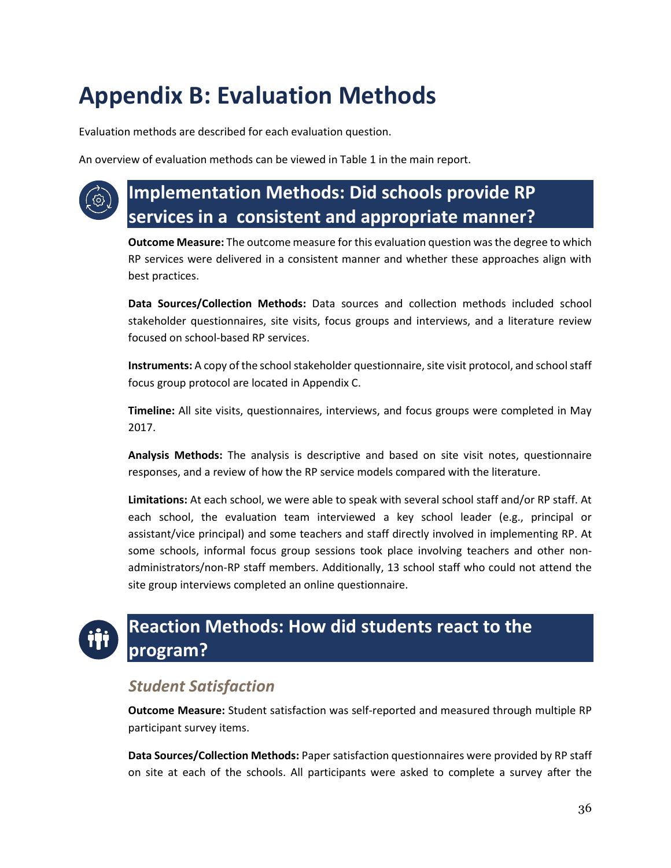## <span id="page-36-0"></span>**Appendix B: Evaluation Methods**

Evaluation methods are described for each evaluation question.

An overview of evaluation methods can be viewed in Table 1 in the main report.



## **Implementation Methods: Did schools provide RP services in a consistent and appropriate manner?**

**Outcome Measure:** The outcome measure for this evaluation question was the degree to which RP services were delivered in a consistent manner and whether these approaches align with best practices.

**Data Sources/Collection Methods:** Data sources and collection methods included school stakeholder questionnaires, site visits, focus groups and interviews, and a literature review focused on school-based RP services.

**Instruments:** A copy of the school stakeholder questionnaire, site visit protocol, and school staff focus group protocol are located in Appendix C.

**Timeline:** All site visits, questionnaires, interviews, and focus groups were completed in May 2017.

**Analysis Methods:** The analysis is descriptive and based on site visit notes, questionnaire responses, and a review of how the RP service models compared with the literature.

**Limitations:** At each school, we were able to speak with several school staff and/or RP staff. At each school, the evaluation team interviewed a key school leader (e.g., principal or assistant/vice principal) and some teachers and staff directly involved in implementing RP. At some schools, informal focus group sessions took place involving teachers and other nonadministrators/non-RP staff members. Additionally, 13 school staff who could not attend the site group interviews completed an online questionnaire.

## **Reaction Methods: How did students react to the program?**

### *Student Satisfaction*

**Outcome Measure:** Student satisfaction was self-reported and measured through multiple RP participant survey items.

**Data Sources/Collection Methods:** Paper satisfaction questionnaires were provided by RP staff on site at each of the schools. All participants were asked to complete a survey after the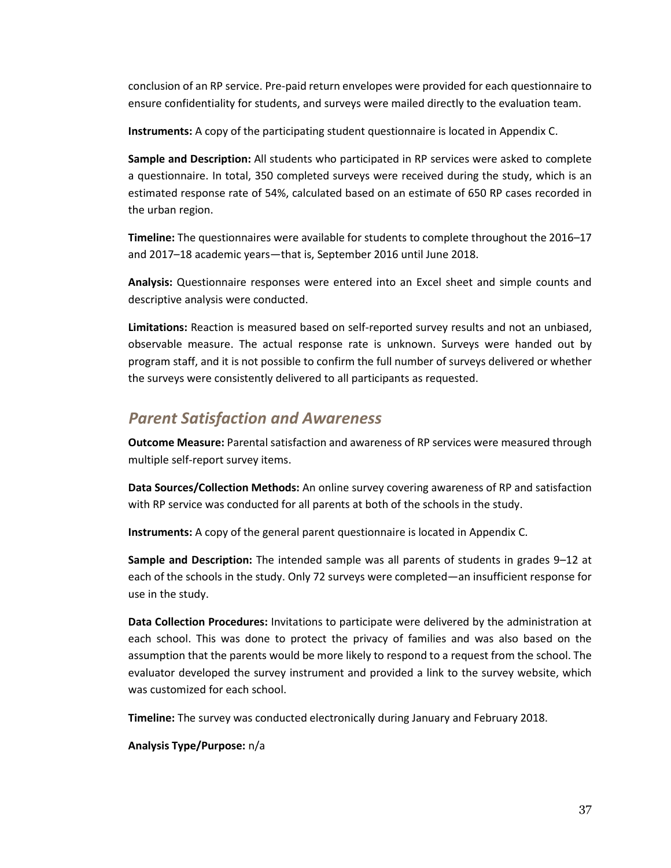conclusion of an RP service. Pre-paid return envelopes were provided for each questionnaire to ensure confidentiality for students, and surveys were mailed directly to the evaluation team.

**Instruments:** A copy of the participating student questionnaire is located in Appendix C.

**Sample and Description:** All students who participated in RP services were asked to complete a questionnaire. In total, 350 completed surveys were received during the study, which is an estimated response rate of 54%, calculated based on an estimate of 650 RP cases recorded in the urban region.

**Timeline:** The questionnaires were available for students to complete throughout the 2016–17 and 2017–18 academic years—that is, September 2016 until June 2018.

**Analysis:** Questionnaire responses were entered into an Excel sheet and simple counts and descriptive analysis were conducted.

**Limitations:** Reaction is measured based on self-reported survey results and not an unbiased, observable measure. The actual response rate is unknown. Surveys were handed out by program staff, and it is not possible to confirm the full number of surveys delivered or whether the surveys were consistently delivered to all participants as requested.

### *Parent Satisfaction and Awareness*

**Outcome Measure:** Parental satisfaction and awareness of RP services were measured through multiple self-report survey items.

**Data Sources/Collection Methods:** An online survey covering awareness of RP and satisfaction with RP service was conducted for all parents at both of the schools in the study.

**Instruments:** A copy of the general parent questionnaire is located in Appendix C.

**Sample and Description:** The intended sample was all parents of students in grades 9–12 at each of the schools in the study. Only 72 surveys were completed—an insufficient response for use in the study.

**Data Collection Procedures:** Invitations to participate were delivered by the administration at each school. This was done to protect the privacy of families and was also based on the assumption that the parents would be more likely to respond to a request from the school. The evaluator developed the survey instrument and provided a link to the survey website, which was customized for each school.

**Timeline:** The survey was conducted electronically during January and February 2018.

**Analysis Type/Purpose:** n/a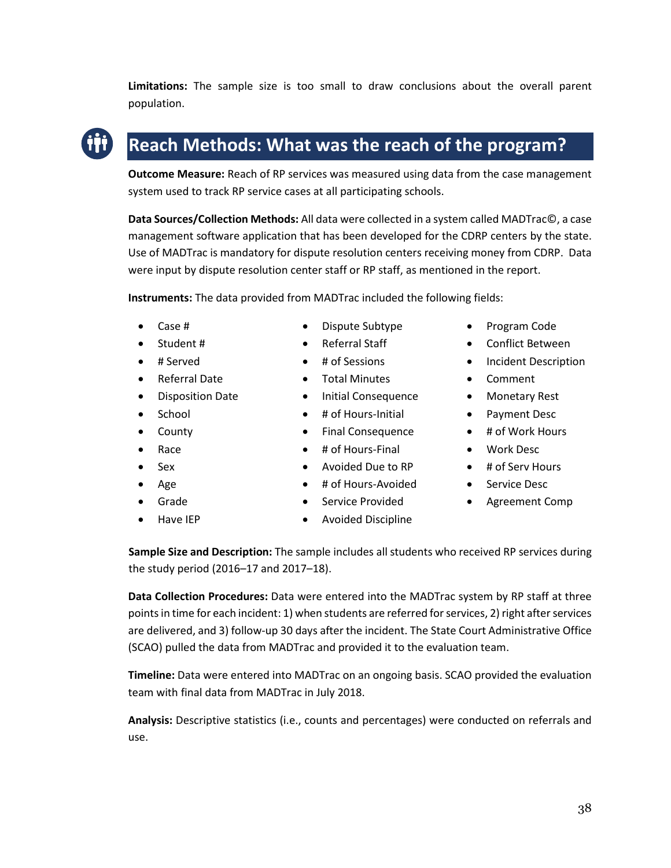**Limitations:** The sample size is too small to draw conclusions about the overall parent population.

### **Reach Methods: What was the reach of the program?**

**Outcome Measure:** Reach of RP services was measured using data from the case management system used to track RP service cases at all participating schools.

**Data Sources/Collection Methods:** All data were collected in a system called MADTrac©, a case management software application that has been developed for the CDRP centers by the state. Use of MADTrac is mandatory for dispute resolution centers receiving money from CDRP. Data were input by dispute resolution center staff or RP staff, as mentioned in the report.

**Instruments:** The data provided from MADTrac included the following fields:

- Case #
- Student #
- # Served
- Referral Date
- **•** Disposition Date
- School
- County
- Race
- $\bullet$  Sex
- $\bullet$  Age
- Grade
- Have IEP
- Dispute Subtype
- Referral Staff
- # of Sessions
- 
- 
- 
- Final Consequence
- $\bullet$  # of Hours-Final
- Avoided Due to RP
- # of Hours-Avoided
- Service Provided
- Avoided Discipline
- Program Code
- Conflict Between
- Incident Description
- Comment
- Monetary Rest
- Payment Desc
- # of Work Hours
- Work Desc
- # of Serv Hours
- Service Desc
- Agreement Comp

**Sample Size and Description:** The sample includes all students who received RP services during the study period (2016–17 and 2017–18).

**Data Collection Procedures:** Data were entered into the MADTrac system by RP staff at three points in time for each incident: 1) when students are referred for services, 2) right after services are delivered, and 3) follow-up 30 days after the incident. The State Court Administrative Office (SCAO) pulled the data from MADTrac and provided it to the evaluation team.

**Timeline:** Data were entered into MADTrac on an ongoing basis. SCAO provided the evaluation team with final data from MADTrac in July 2018.

**Analysis:** Descriptive statistics (i.e., counts and percentages) were conducted on referrals and use.

Total Minutes

- Initial Consequence
- # of Hours-Initial
	-
- 
- 
- 
-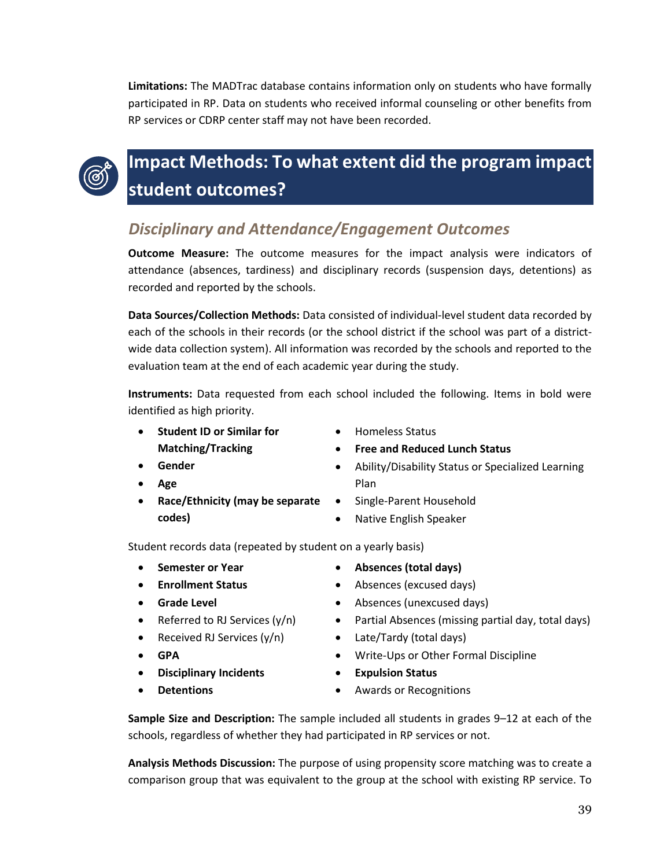**Limitations:** The MADTrac database contains information only on students who have formally participated in RP. Data on students who received informal counseling or other benefits from RP services or CDRP center staff may not have been recorded.



## **Impact Methods: To what extent did the program impact student outcomes?**

### *Disciplinary and Attendance/Engagement Outcomes*

**Outcome Measure:** The outcome measures for the impact analysis were indicators of attendance (absences, tardiness) and disciplinary records (suspension days, detentions) as recorded and reported by the schools.

**Data Sources/Collection Methods:** Data consisted of individual-level student data recorded by each of the schools in their records (or the school district if the school was part of a districtwide data collection system). All information was recorded by the schools and reported to the evaluation team at the end of each academic year during the study.

**Instruments:** Data requested from each school included the following. Items in bold were identified as high priority.

Plan

- **Student ID or Similar for Matching/Tracking**
- Homeless Status
- **Free and Reduced Lunch Status**

- **Gender**
- **Age**
- **Race/Ethnicity (may be separate codes)**
- Single-Parent Household
	- Native English Speaker

Student records data (repeated by student on a yearly basis)

- **Semester or Year**
- **Enrollment Status**
- **Grade Level**
- Referred to RJ Services  $(y/n)$
- Received RJ Services  $(y/n)$
- **GPA**
- **Disciplinary Incidents**
- **Detentions**
- **Absences (total days)**
- Absences (excused days)
- Absences (unexcused days)
- Partial Absences (missing partial day, total days)

Ability/Disability Status or Specialized Learning

- Late/Tardy (total days)
- Write-Ups or Other Formal Discipline
- **Expulsion Status**
- Awards or Recognitions

**Sample Size and Description:** The sample included all students in grades 9–12 at each of the schools, regardless of whether they had participated in RP services or not.

**Analysis Methods Discussion:** The purpose of using propensity score matching was to create a comparison group that was equivalent to the group at the school with existing RP service. To

39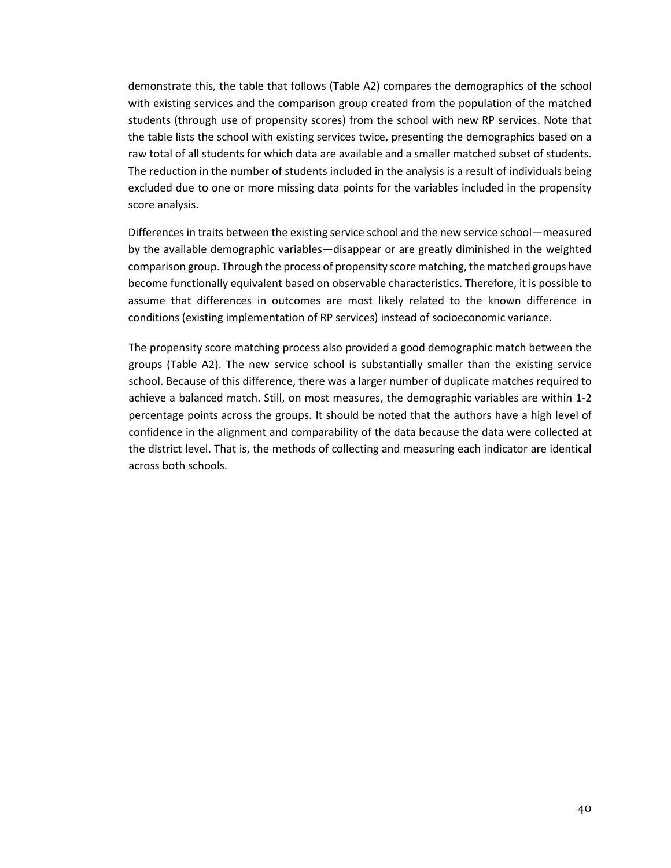demonstrate this, the table that follows (Table A2) compares the demographics of the school with existing services and the comparison group created from the population of the matched students (through use of propensity scores) from the school with new RP services. Note that the table lists the school with existing services twice, presenting the demographics based on a raw total of all students for which data are available and a smaller matched subset of students. The reduction in the number of students included in the analysis is a result of individuals being excluded due to one or more missing data points for the variables included in the propensity score analysis.

Differences in traits between the existing service school and the new service school—measured by the available demographic variables—disappear or are greatly diminished in the weighted comparison group. Through the process of propensity score matching, the matched groups have become functionally equivalent based on observable characteristics. Therefore, it is possible to assume that differences in outcomes are most likely related to the known difference in conditions (existing implementation of RP services) instead of socioeconomic variance.

The propensity score matching process also provided a good demographic match between the groups (Table A2). The new service school is substantially smaller than the existing service school. Because of this difference, there was a larger number of duplicate matches required to achieve a balanced match. Still, on most measures, the demographic variables are within 1-2 percentage points across the groups. It should be noted that the authors have a high level of confidence in the alignment and comparability of the data because the data were collected at the district level. That is, the methods of collecting and measuring each indicator are identical across both schools.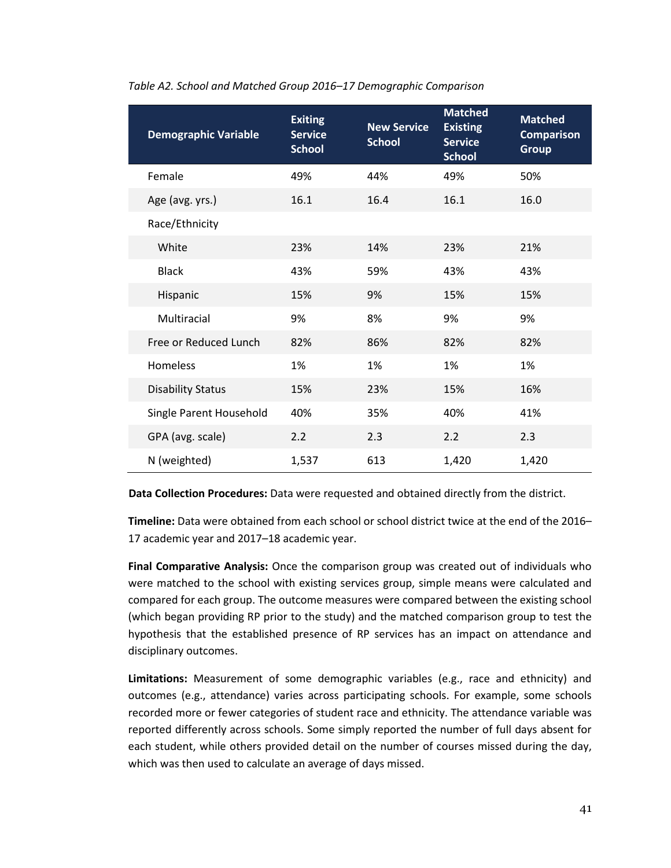| <b>Demographic Variable</b> | <b>Exiting</b><br><b>Service</b><br><b>School</b> | <b>New Service</b><br><b>School</b> | <b>Matched</b><br><b>Existing</b><br><b>Service</b><br><b>School</b> | <b>Matched</b><br><b>Comparison</b><br><b>Group</b> |
|-----------------------------|---------------------------------------------------|-------------------------------------|----------------------------------------------------------------------|-----------------------------------------------------|
| Female                      | 49%                                               | 44%                                 | 49%                                                                  | 50%                                                 |
| Age (avg. yrs.)             | 16.1                                              | 16.4                                | 16.1                                                                 | 16.0                                                |
| Race/Ethnicity              |                                                   |                                     |                                                                      |                                                     |
| White                       | 23%                                               | 14%                                 | 23%                                                                  | 21%                                                 |
| <b>Black</b>                | 43%                                               | 59%                                 | 43%                                                                  | 43%                                                 |
| Hispanic                    | 15%                                               | 9%                                  | 15%                                                                  | 15%                                                 |
| Multiracial                 | 9%                                                | 8%                                  | 9%                                                                   | 9%                                                  |
| Free or Reduced Lunch       | 82%                                               | 86%                                 | 82%                                                                  | 82%                                                 |
| <b>Homeless</b>             | 1%                                                | 1%                                  | 1%                                                                   | 1%                                                  |
| <b>Disability Status</b>    | 15%                                               | 23%                                 | 15%                                                                  | 16%                                                 |
| Single Parent Household     | 40%                                               | 35%                                 | 40%                                                                  | 41%                                                 |
| GPA (avg. scale)            | 2.2                                               | 2.3                                 | 2.2                                                                  | 2.3                                                 |
| N (weighted)                | 1,537                                             | 613                                 | 1,420                                                                | 1,420                                               |

*Table A2. School and Matched Group 2016–17 Demographic Comparison*

**Data Collection Procedures:** Data were requested and obtained directly from the district.

**Timeline:** Data were obtained from each school or school district twice at the end of the 2016– 17 academic year and 2017–18 academic year.

**Final Comparative Analysis:** Once the comparison group was created out of individuals who were matched to the school with existing services group, simple means were calculated and compared for each group. The outcome measures were compared between the existing school (which began providing RP prior to the study) and the matched comparison group to test the hypothesis that the established presence of RP services has an impact on attendance and disciplinary outcomes.

**Limitations:** Measurement of some demographic variables (e.g., race and ethnicity) and outcomes (e.g., attendance) varies across participating schools. For example, some schools recorded more or fewer categories of student race and ethnicity. The attendance variable was reported differently across schools. Some simply reported the number of full days absent for each student, while others provided detail on the number of courses missed during the day, which was then used to calculate an average of days missed.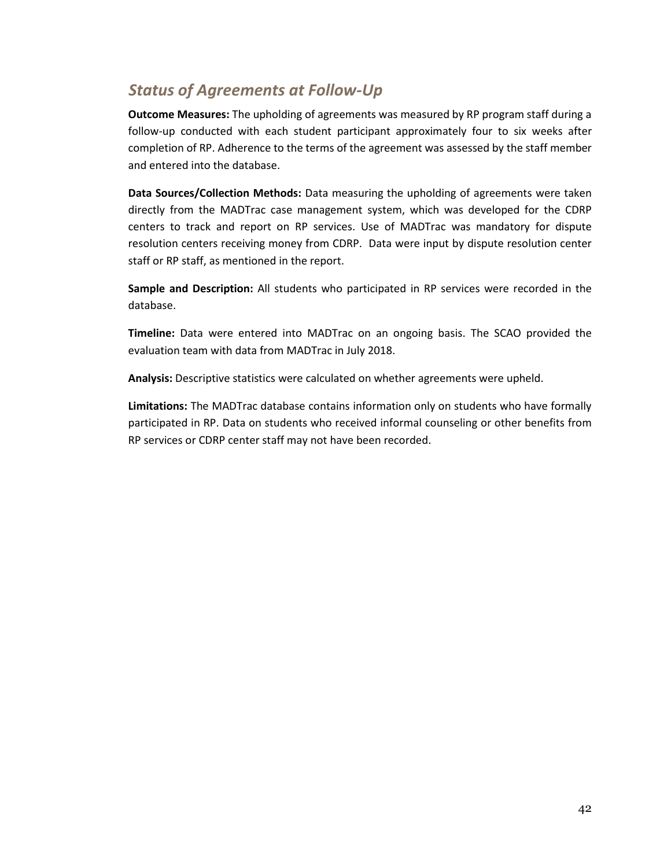### *Status of Agreements at Follow-Up*

**Outcome Measures:** The upholding of agreements was measured by RP program staff during a follow-up conducted with each student participant approximately four to six weeks after completion of RP. Adherence to the terms of the agreement was assessed by the staff member and entered into the database.

**Data Sources/Collection Methods:** Data measuring the upholding of agreements were taken directly from the MADTrac case management system, which was developed for the CDRP centers to track and report on RP services. Use of MADTrac was mandatory for dispute resolution centers receiving money from CDRP. Data were input by dispute resolution center staff or RP staff, as mentioned in the report.

**Sample and Description:** All students who participated in RP services were recorded in the database.

**Timeline:** Data were entered into MADTrac on an ongoing basis. The SCAO provided the evaluation team with data from MADTrac in July 2018.

**Analysis:** Descriptive statistics were calculated on whether agreements were upheld.

**Limitations:** The MADTrac database contains information only on students who have formally participated in RP. Data on students who received informal counseling or other benefits from RP services or CDRP center staff may not have been recorded.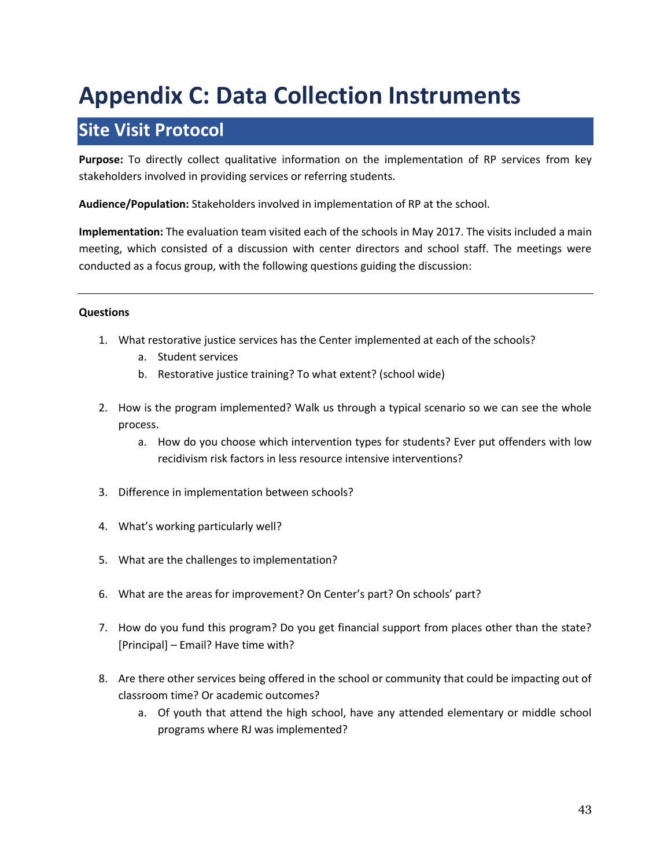## <span id="page-43-0"></span>**Appendix C: Data Collection Instruments**

## **Site Visit Protocol**

**Purpose:** To directly collect qualitative information on the implementation of RP services from key stakeholders involved in providing services or referring students.

**Audience/Population:** Stakeholders involved in implementation of RP at the school.

**Implementation:** The evaluation team visited each of the schools in May 2017. The visits included a main meeting, which consisted of a discussion with center directors and school staff. The meetings were conducted as a focus group, with the following questions guiding the discussion:

#### **Questions**

- 1. What restorative justice services has the Center implemented at each of the schools?
	- a. Student services
	- b. Restorative justice training? To what extent? (school wide)
- 2. How is the program implemented? Walk us through a typical scenario so we can see the whole process.
	- a. How do you choose which intervention types for students? Ever put offenders with low recidivism risk factors in less resource intensive interventions?
- 3. Difference in implementation between schools?
- 4. What's working particularly well?
- 5. What are the challenges to implementation?
- 6. What are the areas for improvement? On Center's part? On schools' part?
- 7. How do you fund this program? Do you get financial support from places other than the state? [Principal] – Email? Have time with?
- 8. Are there other services being offered in the school or community that could be impacting out of classroom time? Or academic outcomes?
	- a. Of youth that attend the high school, have any attended elementary or middle school programs where RJ was implemented?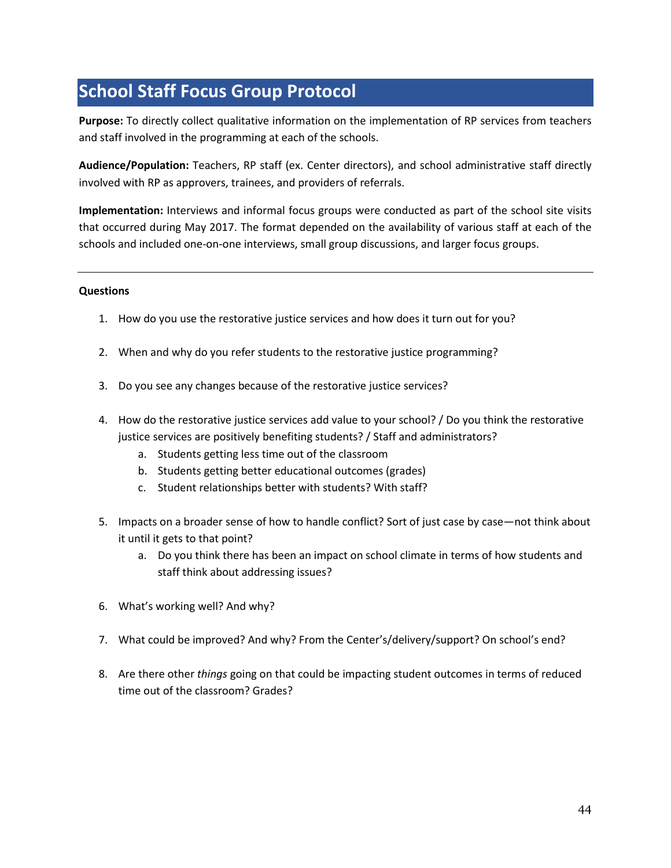## **School Staff Focus Group Protocol**

**Purpose:** To directly collect qualitative information on the implementation of RP services from teachers and staff involved in the programming at each of the schools.

**Audience/Population:** Teachers, RP staff (ex. Center directors), and school administrative staff directly involved with RP as approvers, trainees, and providers of referrals.

**Implementation:** Interviews and informal focus groups were conducted as part of the school site visits that occurred during May 2017. The format depended on the availability of various staff at each of the schools and included one-on-one interviews, small group discussions, and larger focus groups.

#### **Questions**

- 1. How do you use the restorative justice services and how does it turn out for you?
- 2. When and why do you refer students to the restorative justice programming?
- 3. Do you see any changes because of the restorative justice services?
- 4. How do the restorative justice services add value to your school? / Do you think the restorative justice services are positively benefiting students? / Staff and administrators?
	- a. Students getting less time out of the classroom
	- b. Students getting better educational outcomes (grades)
	- c. Student relationships better with students? With staff?
- 5. Impacts on a broader sense of how to handle conflict? Sort of just case by case—not think about it until it gets to that point?
	- a. Do you think there has been an impact on school climate in terms of how students and staff think about addressing issues?
- 6. What's working well? And why?
- 7. What could be improved? And why? From the Center's/delivery/support? On school's end?
- 8. Are there other *things* going on that could be impacting student outcomes in terms of reduced time out of the classroom? Grades?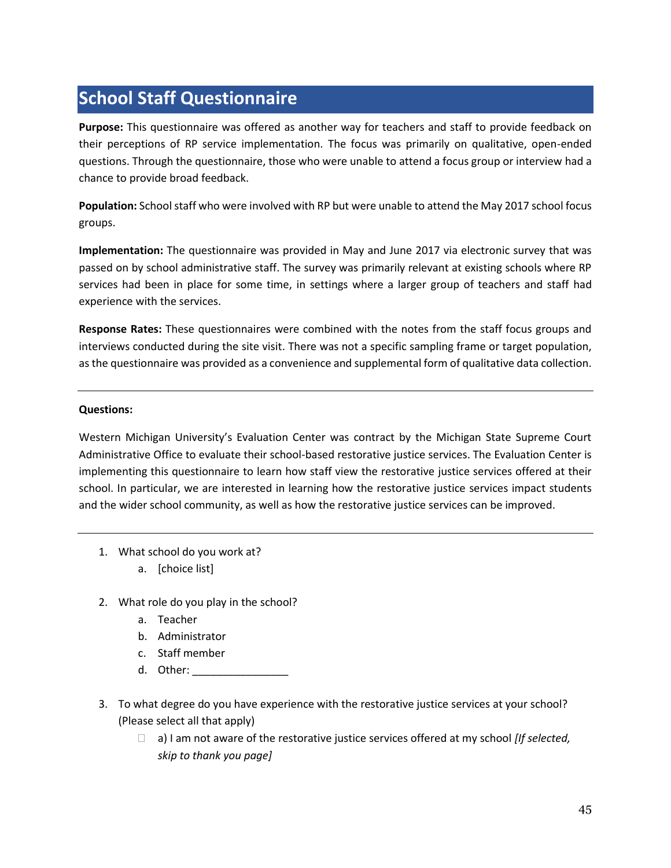## **School Staff Questionnaire**

**Purpose:** This questionnaire was offered as another way for teachers and staff to provide feedback on their perceptions of RP service implementation. The focus was primarily on qualitative, open-ended questions. Through the questionnaire, those who were unable to attend a focus group or interview had a chance to provide broad feedback.

**Population:** School staff who were involved with RP but were unable to attend the May 2017 school focus groups.

**Implementation:** The questionnaire was provided in May and June 2017 via electronic survey that was passed on by school administrative staff. The survey was primarily relevant at existing schools where RP services had been in place for some time, in settings where a larger group of teachers and staff had experience with the services.

**Response Rates:** These questionnaires were combined with the notes from the staff focus groups and interviews conducted during the site visit. There was not a specific sampling frame or target population, as the questionnaire was provided as a convenience and supplemental form of qualitative data collection.

#### **Questions:**

Western Michigan University's Evaluation Center was contract by the Michigan State Supreme Court Administrative Office to evaluate their school-based restorative justice services. The Evaluation Center is implementing this questionnaire to learn how staff view the restorative justice services offered at their school. In particular, we are interested in learning how the restorative justice services impact students and the wider school community, as well as how the restorative justice services can be improved.

- 1. What school do you work at?
	- a. [choice list]
- 2. What role do you play in the school?
	- a. Teacher
	- b. Administrator
	- c. Staff member
	- d. Other: \_\_\_\_\_\_\_\_\_\_\_\_\_\_\_\_
- 3. To what degree do you have experience with the restorative justice services at your school? (Please select all that apply)
	- a) I am not aware of the restorative justice services offered at my school *[If selected, skip to thank you page]*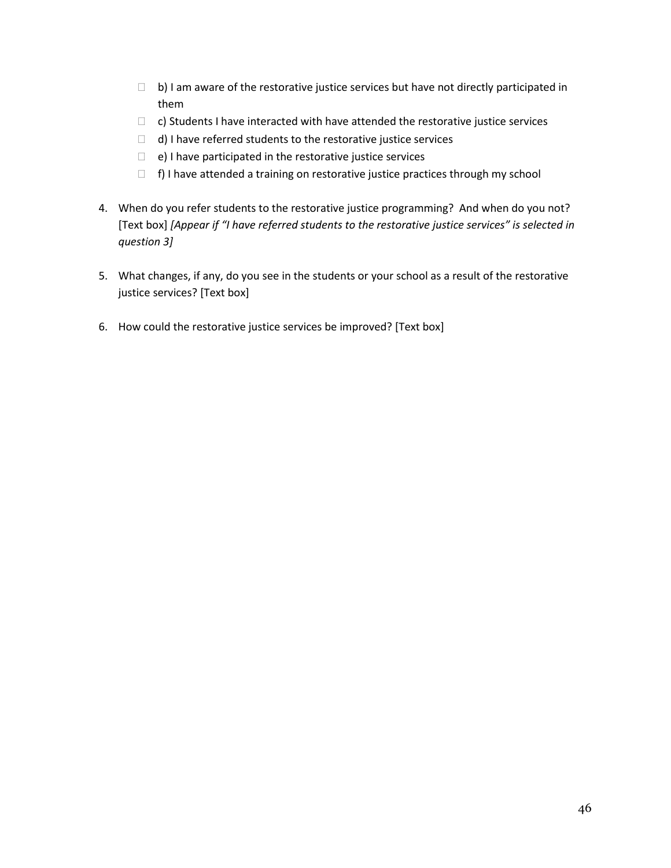- $\Box$  b) I am aware of the restorative justice services but have not directly participated in them
- $\Box$  c) Students I have interacted with have attended the restorative justice services
- $\Box$  d) I have referred students to the restorative justice services
- $\Box$  e) I have participated in the restorative justice services
- $\Box$  f) I have attended a training on restorative justice practices through my school
- 4. When do you refer students to the restorative justice programming? And when do you not? [Text box] *[Appear if "I have referred students to the restorative justice services" is selected in question 3]*
- 5. What changes, if any, do you see in the students or your school as a result of the restorative justice services? [Text box]
- 6. How could the restorative justice services be improved? [Text box]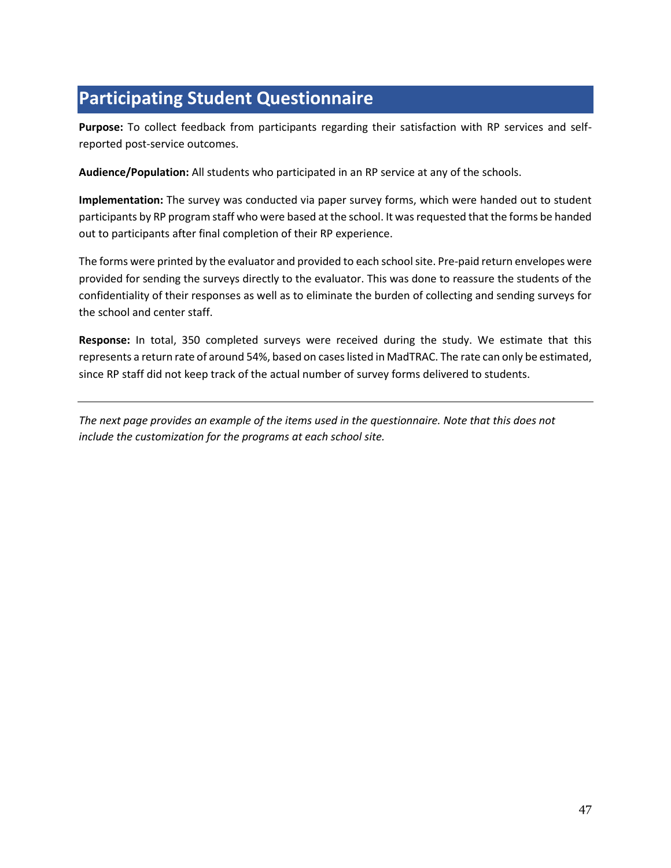## **Participating Student Questionnaire**

**Purpose:** To collect feedback from participants regarding their satisfaction with RP services and selfreported post-service outcomes.

**Audience/Population:** All students who participated in an RP service at any of the schools.

**Implementation:** The survey was conducted via paper survey forms, which were handed out to student participants by RP program staff who were based at the school. It was requested that the forms be handed out to participants after final completion of their RP experience.

The forms were printed by the evaluator and provided to each school site. Pre-paid return envelopes were provided for sending the surveys directly to the evaluator. This was done to reassure the students of the confidentiality of their responses as well as to eliminate the burden of collecting and sending surveys for the school and center staff.

**Response:** In total, 350 completed surveys were received during the study. We estimate that this represents a return rate of around 54%, based on cases listed in MadTRAC. The rate can only be estimated, since RP staff did not keep track of the actual number of survey forms delivered to students.

*The next page provides an example of the items used in the questionnaire. Note that this does not include the customization for the programs at each school site.*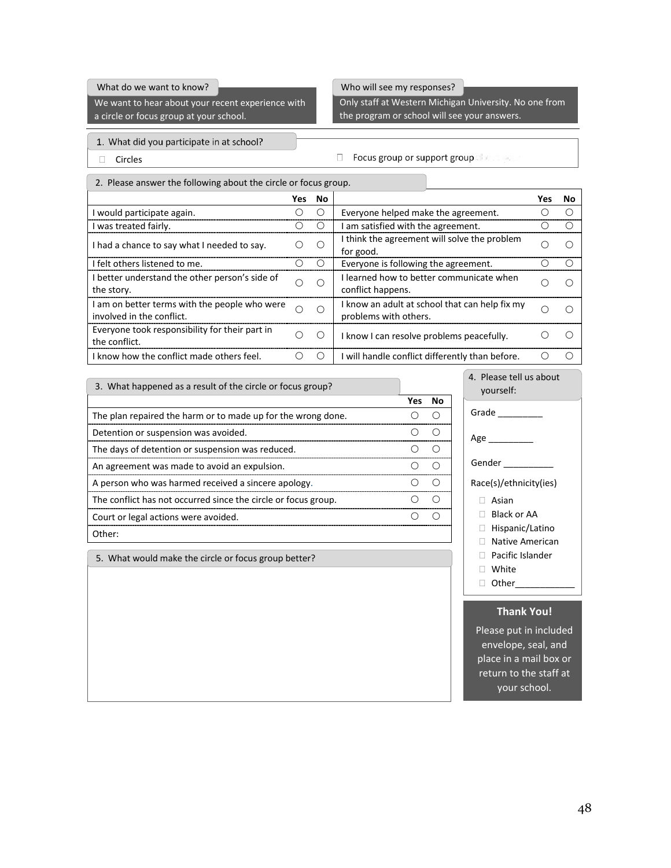#### What do we want to know?

We want to hear about your recent experience with a circle or focus group at your school.

#### Who will see my responses?

Only staff at Western Michigan University. No one from the program or school will see your answers.

- 1. What did you participate in at school?
- 

 $\Box$  Circles  $\Box$  Circles

|  | 2. Please answer the following about the circle or focus group. |
|--|-----------------------------------------------------------------|
|  |                                                                 |

|                                                                            | Yes | No.       |                                                                         | Yes | No |
|----------------------------------------------------------------------------|-----|-----------|-------------------------------------------------------------------------|-----|----|
| I would participate again.                                                 |     |           | Everyone helped make the agreement.                                     |     |    |
| I was treated fairly.                                                      |     |           | I am satisfied with the agreement.                                      |     |    |
| I had a chance to say what I needed to say.                                | ()  | $\subset$ | I think the agreement will solve the problem<br>for good.               |     |    |
| I felt others listened to me.                                              |     |           | Everyone is following the agreement.                                    |     |    |
| I better understand the other person's side of<br>the story.               | ∩   | C         | learned how to better communicate when<br>conflict happens.             |     |    |
| I am on better terms with the people who were<br>involved in the conflict. | ∩   | ∩         | I know an adult at school that can help fix my<br>problems with others. |     |    |
| Everyone took responsibility for their part in<br>the conflict.            | Ω   |           | I know I can resolve problems peacefully.                               |     |    |
| I know how the conflict made others feel.                                  | Э.  | (         | I will handle conflict differently than before.                         |     |    |

**Yes No** The plan repaired the harm or to made up for the wrong done.  $\bigcirc$   $\bigcirc$ Detention or suspension was avoided. Determined by a set of  $O$  or  $O$ The days of detention or suspension was reduced. The days of detention or suspension was reduced. An agreement was made to avoid an expulsion. A person who was harmed received a sincere apology.  $\bigcirc$  O  $\bigcirc$ The conflict has not occurred since the circle or focus group.  $\qquad \qquad \circ \qquad \circ$ Court or legal actions were avoided. COURC COURT COURT OF COURT OF COURT OF COURT OF COURT OF COURT OF COURT OF COURT OF COURT OF COURT OF COURT OF COURT OF COURT OF COURT OF COURT OF COURT OF COURT OF COURT OF COURT OF CO Other: 3. What happened as a result of the circle or focus group?

5. What would make the circle or focus group better?

Grade \_\_\_\_\_\_\_\_\_\_ Age \_\_\_\_\_\_\_\_ Gender \_\_\_\_\_ Race(s)/ethnicity(ies) Asian □ Black or AA □ Hispanic/Latino Native American Pacific Islander White  $\Box$  Other\_ 4. Please tell us about yourself:

#### **Thank You!**

Please put in included envelope, seal, and place in a mail box or return to the staff at your school.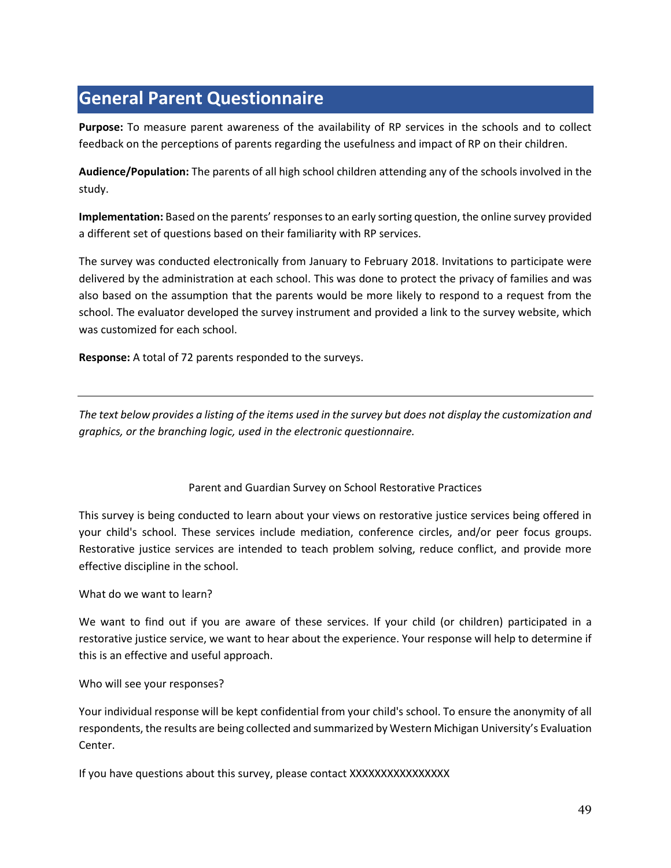## **General Parent Questionnaire**

**Purpose:** To measure parent awareness of the availability of RP services in the schools and to collect feedback on the perceptions of parents regarding the usefulness and impact of RP on their children.

**Audience/Population:** The parents of all high school children attending any of the schools involved in the study.

**Implementation:** Based on the parents' responses to an early sorting question, the online survey provided a different set of questions based on their familiarity with RP services.

The survey was conducted electronically from January to February 2018. Invitations to participate were delivered by the administration at each school. This was done to protect the privacy of families and was also based on the assumption that the parents would be more likely to respond to a request from the school. The evaluator developed the survey instrument and provided a link to the survey website, which was customized for each school.

**Response:** A total of 72 parents responded to the surveys.

*The text below provides a listing of the items used in the survey but does not display the customization and graphics, or the branching logic, used in the electronic questionnaire.*

Parent and Guardian Survey on School Restorative Practices

This survey is being conducted to learn about your views on restorative justice services being offered in your child's school. These services include mediation, conference circles, and/or peer focus groups. Restorative justice services are intended to teach problem solving, reduce conflict, and provide more effective discipline in the school.

What do we want to learn?

We want to find out if you are aware of these services. If your child (or children) participated in a restorative justice service, we want to hear about the experience. Your response will help to determine if this is an effective and useful approach.

#### Who will see your responses?

Your individual response will be kept confidential from your child's school. To ensure the anonymity of all respondents, the results are being collected and summarized by Western Michigan University's Evaluation Center.

If you have questions about this survey, please contact XXXXXXXXXXXXXXXXX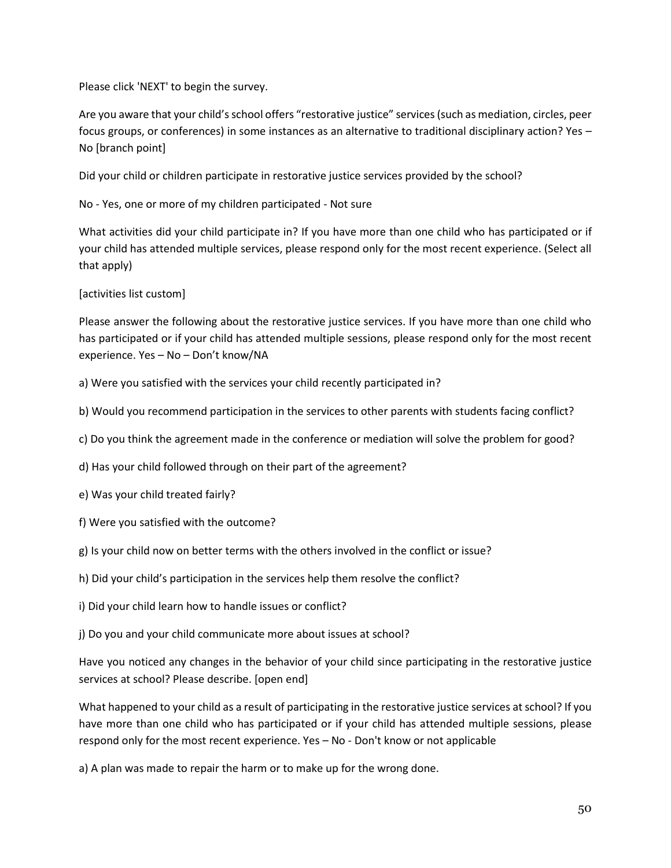Please click 'NEXT' to begin the survey.

Are you aware that your child's school offers "restorative justice" services (such as mediation, circles, peer focus groups, or conferences) in some instances as an alternative to traditional disciplinary action? Yes – No [branch point]

Did your child or children participate in restorative justice services provided by the school?

No - Yes, one or more of my children participated - Not sure

What activities did your child participate in? If you have more than one child who has participated or if your child has attended multiple services, please respond only for the most recent experience. (Select all that apply)

[activities list custom]

Please answer the following about the restorative justice services. If you have more than one child who has participated or if your child has attended multiple sessions, please respond only for the most recent experience. Yes – No – Don't know/NA

a) Were you satisfied with the services your child recently participated in?

b) Would you recommend participation in the services to other parents with students facing conflict?

c) Do you think the agreement made in the conference or mediation will solve the problem for good?

d) Has your child followed through on their part of the agreement?

e) Was your child treated fairly?

- f) Were you satisfied with the outcome?
- g) Is your child now on better terms with the others involved in the conflict or issue?
- h) Did your child's participation in the services help them resolve the conflict?
- i) Did your child learn how to handle issues or conflict?

j) Do you and your child communicate more about issues at school?

Have you noticed any changes in the behavior of your child since participating in the restorative justice services at school? Please describe. [open end]

What happened to your child as a result of participating in the restorative justice services at school? If you have more than one child who has participated or if your child has attended multiple sessions, please respond only for the most recent experience. Yes – No - Don't know or not applicable

a) A plan was made to repair the harm or to make up for the wrong done.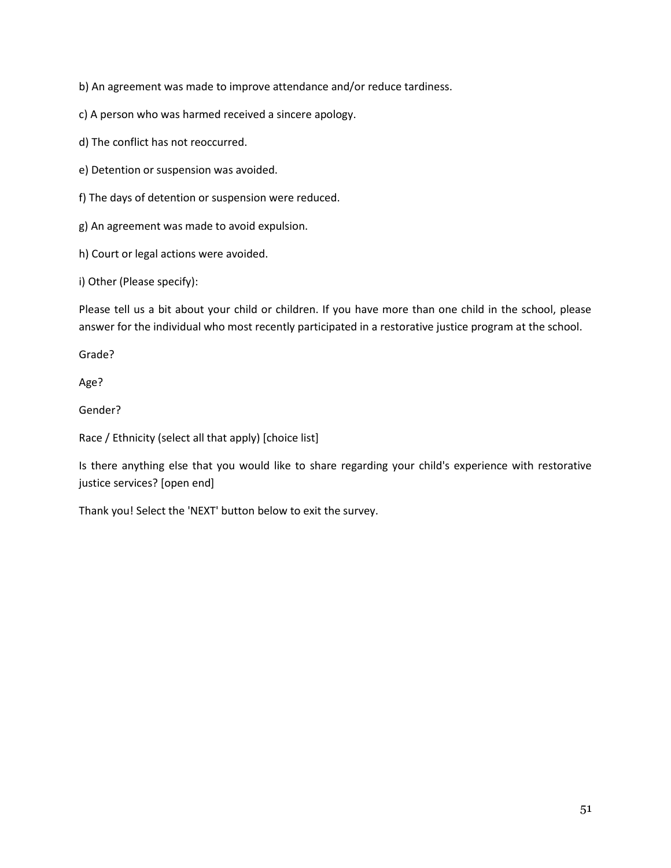b) An agreement was made to improve attendance and/or reduce tardiness.

c) A person who was harmed received a sincere apology.

d) The conflict has not reoccurred.

e) Detention or suspension was avoided.

f) The days of detention or suspension were reduced.

g) An agreement was made to avoid expulsion.

h) Court or legal actions were avoided.

i) Other (Please specify):

Please tell us a bit about your child or children. If you have more than one child in the school, please answer for the individual who most recently participated in a restorative justice program at the school.

Grade?

Age?

Gender?

Race / Ethnicity (select all that apply) [choice list]

Is there anything else that you would like to share regarding your child's experience with restorative justice services? [open end]

Thank you! Select the 'NEXT' button below to exit the survey.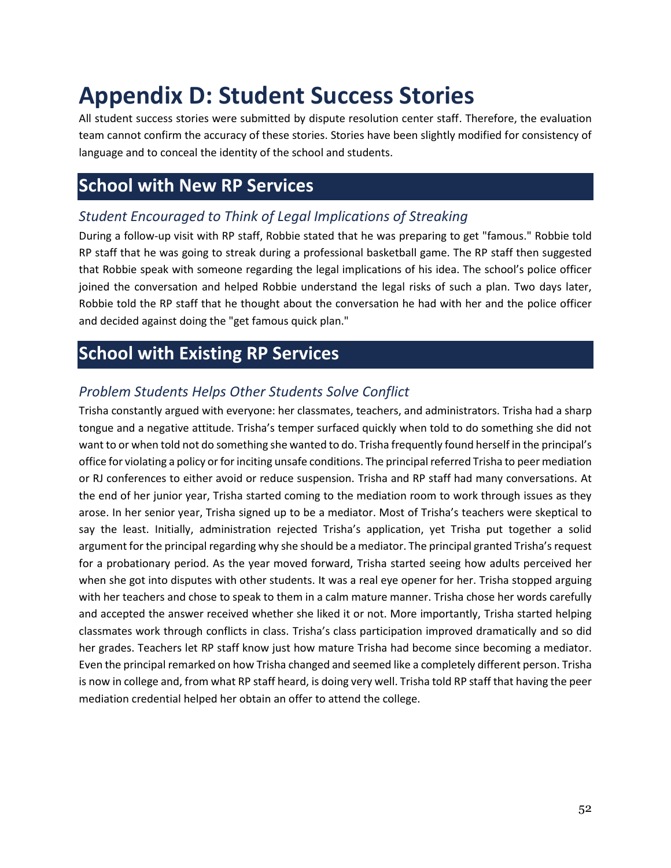## <span id="page-52-0"></span>**Appendix D: Student Success Stories**

All student success stories were submitted by dispute resolution center staff. Therefore, the evaluation team cannot confirm the accuracy of these stories. Stories have been slightly modified for consistency of language and to conceal the identity of the school and students.

### **School with New RP Services**

#### *Student Encouraged to Think of Legal Implications of Streaking*

During a follow-up visit with RP staff, Robbie stated that he was preparing to get "famous." Robbie told RP staff that he was going to streak during a professional basketball game. The RP staff then suggested that Robbie speak with someone regarding the legal implications of his idea. The school's police officer joined the conversation and helped Robbie understand the legal risks of such a plan. Two days later, Robbie told the RP staff that he thought about the conversation he had with her and the police officer and decided against doing the "get famous quick plan."

### **School with Existing RP Services**

### *Problem Students Helps Other Students Solve Conflict*

Trisha constantly argued with everyone: her classmates, teachers, and administrators. Trisha had a sharp tongue and a negative attitude. Trisha's temper surfaced quickly when told to do something she did not want to or when told not do something she wanted to do. Trisha frequently found herself in the principal's office for violating a policy or for inciting unsafe conditions. The principal referred Trisha to peer mediation or RJ conferences to either avoid or reduce suspension. Trisha and RP staff had many conversations. At the end of her junior year, Trisha started coming to the mediation room to work through issues as they arose. In her senior year, Trisha signed up to be a mediator. Most of Trisha's teachers were skeptical to say the least. Initially, administration rejected Trisha's application, yet Trisha put together a solid argument for the principal regarding why she should be a mediator. The principal granted Trisha's request for a probationary period. As the year moved forward, Trisha started seeing how adults perceived her when she got into disputes with other students. It was a real eye opener for her. Trisha stopped arguing with her teachers and chose to speak to them in a calm mature manner. Trisha chose her words carefully and accepted the answer received whether she liked it or not. More importantly, Trisha started helping classmates work through conflicts in class. Trisha's class participation improved dramatically and so did her grades. Teachers let RP staff know just how mature Trisha had become since becoming a mediator. Even the principal remarked on how Trisha changed and seemed like a completely different person. Trisha is now in college and, from what RP staff heard, is doing very well. Trisha told RP staff that having the peer mediation credential helped her obtain an offer to attend the college.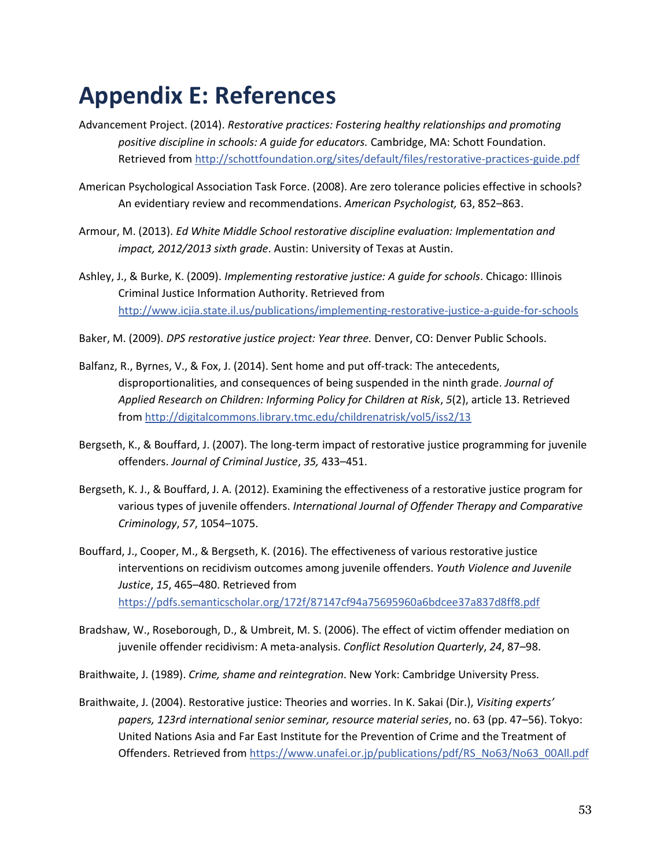## <span id="page-53-0"></span>**Appendix E: References**

- Advancement Project. (2014). *Restorative practices: Fostering healthy relationships and promoting positive discipline in schools: A guide for educators.* Cambridge, MA: Schott Foundation. Retrieved from<http://schottfoundation.org/sites/default/files/restorative-practices-guide.pdf>
- American Psychological Association Task Force. (2008). Are zero tolerance policies effective in schools? An evidentiary review and recommendations. *American Psychologist,* 63, 852–863.
- Armour, M. (2013). *Ed White Middle School restorative discipline evaluation: Implementation and impact, 2012/2013 sixth grade*. Austin: University of Texas at Austin.
- Ashley, J., & Burke, K. (2009). *Implementing restorative justice: A guide for schools*. Chicago: Illinois Criminal Justice Information Authority. Retrieved from <http://www.icjia.state.il.us/publications/implementing-restorative-justice-a-guide-for-schools>
- Baker, M. (2009). *DPS restorative justice project: Year three.* Denver, CO: Denver Public Schools.
- Balfanz, R., Byrnes, V., & Fox, J. (2014). Sent home and put off-track: The antecedents, disproportionalities, and consequences of being suspended in the ninth grade. *Journal of Applied Research on Children: Informing Policy for Children at Risk*, *5*(2), article 13. Retrieved from<http://digitalcommons.library.tmc.edu/childrenatrisk/vol5/iss2/13>
- Bergseth, K., & Bouffard, J. (2007). The long-term impact of restorative justice programming for juvenile offenders. *Journal of Criminal Justice*, *35,* 433–451.
- Bergseth, K. J., & Bouffard, J. A. (2012). Examining the effectiveness of a restorative justice program for various types of juvenile offenders. *International Journal of Offender Therapy and Comparative Criminology*, *57*, 1054–1075.
- Bouffard, J., Cooper, M., & Bergseth, K. (2016). The effectiveness of various restorative justice interventions on recidivism outcomes among juvenile offenders. *Youth Violence and Juvenile Justice*, *15*, 465–480. Retrieved from <https://pdfs.semanticscholar.org/172f/87147cf94a75695960a6bdcee37a837d8ff8.pdf>
- Bradshaw, W., Roseborough, D., & Umbreit, M. S. (2006). The effect of victim offender mediation on juvenile offender recidivism: A meta-analysis. *Conflict Resolution Quarterly*, *24*, 87–98.

Braithwaite, J. (1989). *Crime, shame and reintegration*. New York: Cambridge University Press.

Braithwaite, J. (2004). Restorative justice: Theories and worries. In K. Sakai (Dir.), *Visiting experts' papers, 123rd international senior seminar, resource material series*, no. 63 (pp. 47–56). Tokyo: United Nations Asia and Far East Institute for the Prevention of Crime and the Treatment of Offenders. Retrieved from [https://www.unafei.or.jp/publications/pdf/RS\\_No63/No63\\_00All.pdf](https://www.unafei.or.jp/publications/pdf/RS_No63/No63_00All.pdf)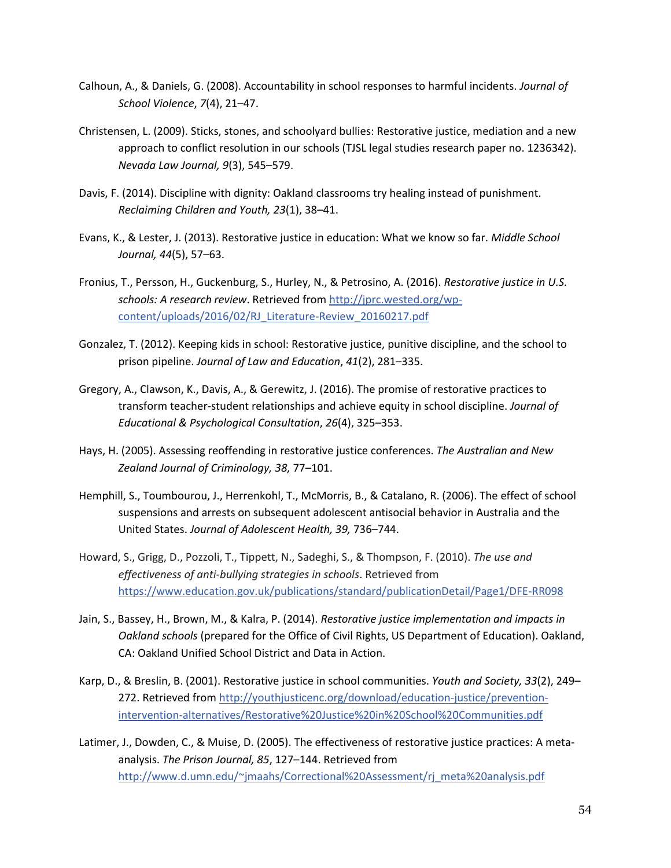- Calhoun, A., & Daniels, G. (2008). Accountability in school responses to harmful incidents. *Journal of School Violence*, *7*(4), 21–47.
- Christensen, L. (2009). Sticks, stones, and schoolyard bullies: Restorative justice, mediation and a new approach to conflict resolution in our schools (TJSL legal studies research paper no. 1236342). *Nevada Law Journal, 9*(3), 545–579.
- Davis, F. (2014). Discipline with dignity: Oakland classrooms try healing instead of punishment. *Reclaiming Children and Youth, 23*(1), 38–41.
- Evans, K., & Lester, J. (2013). Restorative justice in education: What we know so far. *Middle School Journal, 44*(5), 57–63.
- Fronius, T., Persson, H., Guckenburg, S., Hurley, N., & Petrosino, A. (2016). *Restorative justice in U.S. schools: A research review*. Retrieved from [http://jprc.wested.org/wp](http://jprc.wested.org/wp-content/uploads/2016/02/RJ_Literature-Review_20160217.pdf)[content/uploads/2016/02/RJ\\_Literature-Review\\_20160217.pdf](http://jprc.wested.org/wp-content/uploads/2016/02/RJ_Literature-Review_20160217.pdf)
- Gonzalez, T. (2012). Keeping kids in school: Restorative justice, punitive discipline, and the school to prison pipeline. *Journal of Law and Education*, *41*(2), 281–335.
- Gregory, A., Clawson, K., Davis, A., & Gerewitz, J. (2016). The promise of restorative practices to transform teacher-student relationships and achieve equity in school discipline. *Journal of Educational & Psychological Consultation*, *26*(4), 325–353.
- Hays, H. (2005). Assessing reoffending in restorative justice conferences. *The Australian and New Zealand Journal of Criminology, 38,* 77–101.
- Hemphill, S., Toumbourou, J., Herrenkohl, T., McMorris, B., & Catalano, R. (2006). The effect of school suspensions and arrests on subsequent adolescent antisocial behavior in Australia and the United States. *Journal of Adolescent Health, 39,* 736–744.
- Howard, S., Grigg, D., Pozzoli, T., Tippett, N., Sadeghi, S., & Thompson, F. (2010). *The use and effectiveness of anti-bullying strategies in schools*. Retrieved from <https://www.education.gov.uk/publications/standard/publicationDetail/Page1/DFE-RR098>
- Jain, S., Bassey, H., Brown, M., & Kalra, P. (2014). *Restorative justice implementation and impacts in Oakland schools* (prepared for the Office of Civil Rights, US Department of Education). Oakland, CA: Oakland Unified School District and Data in Action.
- Karp, D., & Breslin, B. (2001). Restorative justice in school communities. *Youth and Society, 33*(2), 249– 272. Retrieved from [http://youthjusticenc.org/download/education-justice/prevention](http://youthjusticenc.org/download/education-justice/prevention-intervention-alternatives/Restorative%20Justice%20in%20School%20Communities.pdf)[intervention-alternatives/Restorative%20Justice%20in%20School%20Communities.pdf](http://youthjusticenc.org/download/education-justice/prevention-intervention-alternatives/Restorative%20Justice%20in%20School%20Communities.pdf)
- Latimer, J., Dowden, C., & Muise, D. (2005). The effectiveness of restorative justice practices: A metaanalysis. *The Prison Journal, 85*, 127–144. Retrieved from [http://www.d.umn.edu/~jmaahs/Correctional%20Assessment/rj\\_meta%20analysis.pdf](http://www.d.umn.edu/~jmaahs/Correctional%20Assessment/rj_meta%20analysis.pdf)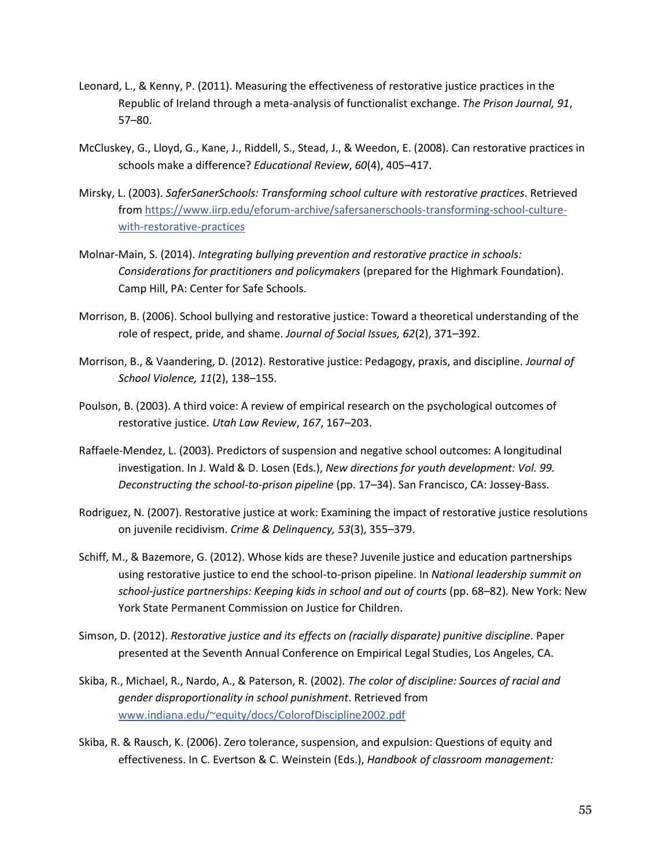- Leonard, L., & Kenny, P. (2011). Measuring the effectiveness of restorative justice practices in the Republic of Ireland through a meta-analysis of functionalist exchange. *The Prison Journal, 91*, 57–80.
- McCluskey, G., Lloyd, G., Kane, J., Riddell, S., Stead, J., & Weedon, E. (2008). Can restorative practices in schools make a difference? *Educational Review*, *60*(4), 405–417.
- Mirsky, L. (2003). *SaferSanerSchools: Transforming school culture with restorative practices*. Retrieved from [https://www.iirp.edu/eforum-archive/safersanerschools-transforming-school-culture](https://www.iirp.edu/eforum-archive/safersanerschools-transforming-school-culture-with-restorative-practices)[with-restorative-practices](https://www.iirp.edu/eforum-archive/safersanerschools-transforming-school-culture-with-restorative-practices)
- Molnar-Main, S. (2014). *Integrating bullying prevention and restorative practice in schools: Considerations for practitioners and policymakers* (prepared for the Highmark Foundation). Camp Hill, PA: Center for Safe Schools.
- Morrison, B. (2006). School bullying and restorative justice: Toward a theoretical understanding of the role of respect, pride, and shame. *Journal of Social Issues, 62*(2), 371–392.
- Morrison, B., & Vaandering, D. (2012). Restorative justice: Pedagogy, praxis, and discipline. *Journal of School Violence, 11*(2), 138–155.
- Poulson, B. (2003). A third voice: A review of empirical research on the psychological outcomes of restorative justice. *Utah Law Review*, *167*, 167–203.
- Raffaele-Mendez, L. (2003). Predictors of suspension and negative school outcomes: A longitudinal investigation. In J. Wald & D. Losen (Eds.), *New directions for youth development: Vol. 99. Deconstructing the school-to-prison pipeline* (pp. 17–34). San Francisco, CA: Jossey-Bass.
- Rodriguez, N. (2007). Restorative justice at work: Examining the impact of restorative justice resolutions on juvenile recidivism. *Crime & Delinquency, 53*(3), 355–379.
- Schiff, M., & Bazemore, G. (2012). Whose kids are these? Juvenile justice and education partnerships using restorative justice to end the school-to-prison pipeline. In *National leadership summit on school-justice partnerships: Keeping kids in school and out of courts* (pp. 68–82)*.* New York: New York State Permanent Commission on Justice for Children.
- Simson, D. (2012). *Restorative justice and its effects on (racially disparate) punitive discipline*. Paper presented at the Seventh Annual Conference on Empirical Legal Studies, Los Angeles, CA.
- Skiba, R., Michael, R., Nardo, A., & Paterson, R. (2002). *The color of discipline: Sources of racial and gender disproportionality in school punishment*. Retrieved from [www.indiana.edu/~equity/docs/ColorofDiscipline2002.pdf](http://www.indiana.edu/~equity/docs/ColorofDiscipline2002.pdf)
- Skiba, R. & Rausch, K. (2006). Zero tolerance, suspension, and expulsion: Questions of equity and effectiveness. In C. Evertson & C. Weinstein (Eds.), *Handbook of classroom management:*